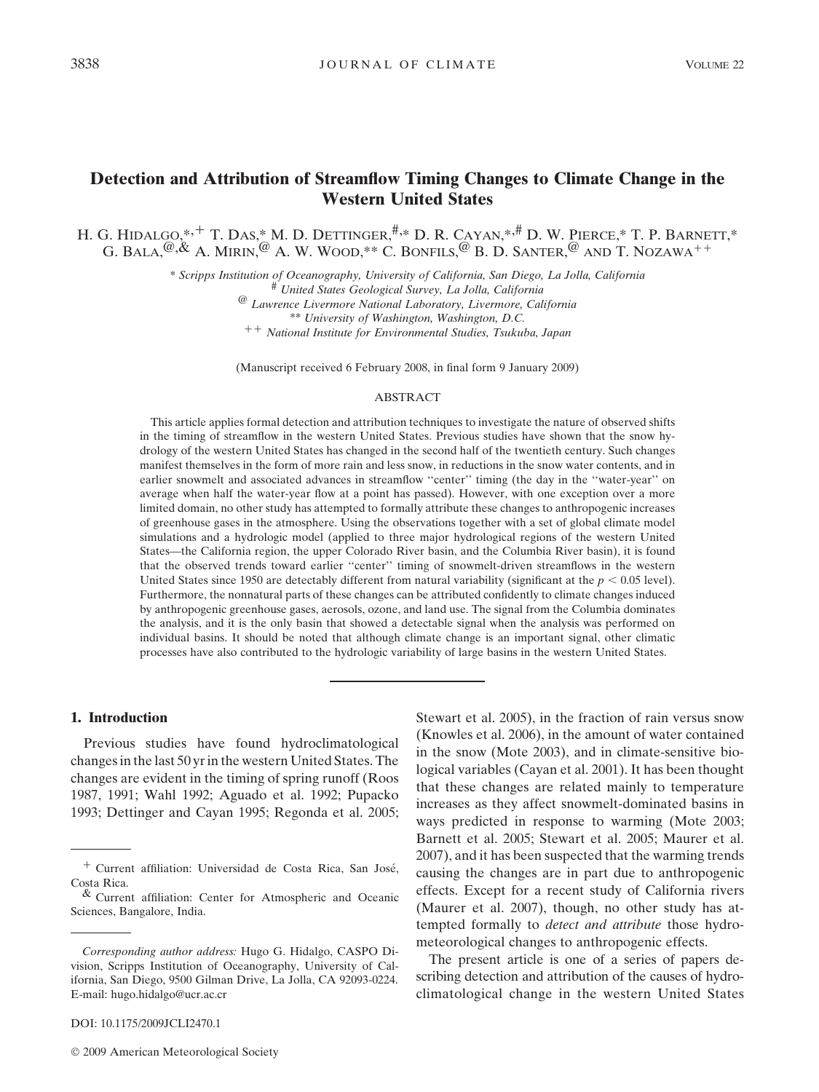# Detection and Attribution of Streamflow Timing Changes to Climate Change in the Western United States

H. G. HIDALGO,\*<sup>,+</sup> T. Das,\* M. D. Dettinger.<sup>#,\*</sup> D. R. Cayan,\*<sup>,#</sup> D. W. Pierce,\* T. P. Barnett.\* G. BALA,  $\overset{\varphi, \kappa}{\otimes}$  A. MIRIN,  $\overset{\varphi}{\otimes}$  A. W. WOOD,\*\* C. BONFILS,  $\overset{\varphi}{\otimes}$  B. D. SANTER,  $\overset{\varphi}{\otimes}$  AND T. NOZAWA<sup>++</sup>

\* Scripps Institution of Oceanography, University of California, San Diego, La Jolla, California

# United States Geological Survey, La Jolla, California

 $^{\textregistered}$  Lawrence Livermore National Laboratory, Livermore, California

\*\* University of Washington, Washington, D.C.

 $1++$  National Institute for Environmental Studies, Tsukuba, Japan

(Manuscript received 6 February 2008, in final form 9 January 2009)

#### ABSTRACT

This article applies formal detection and attribution techniques to investigate the nature of observed shifts in the timing of streamflow in the western United States. Previous studies have shown that the snow hydrology of the western United States has changed in the second half of the twentieth century. Such changes manifest themselves in the form of more rain and less snow, in reductions in the snow water contents, and in earlier snowmelt and associated advances in streamflow "center" timing (the day in the "water-year" on average when half the water-year flow at a point has passed). However, with one exception over a more limited domain, no other study has attempted to formally attribute these changes to anthropogenic increases of greenhouse gases in the atmosphere. Using the observations together with a set of global climate model simulations and a hydrologic model (applied to three major hydrological regions of the western United States—the California region, the upper Colorado River basin, and the Columbia River basin), it is found that the observed trends toward earlier ''center'' timing of snowmelt-driven streamflows in the western United States since 1950 are detectably different from natural variability (significant at the  $p < 0.05$  level). Furthermore, the nonnatural parts of these changes can be attributed confidently to climate changes induced by anthropogenic greenhouse gases, aerosols, ozone, and land use. The signal from the Columbia dominates the analysis, and it is the only basin that showed a detectable signal when the analysis was performed on individual basins. It should be noted that although climate change is an important signal, other climatic processes have also contributed to the hydrologic variability of large basins in the western United States.

### 1. Introduction

Previous studies have found hydroclimatological changesin the last 50 yrin the western United States.The changes are evident in the timing of spring runoff (Roos 1987, 1991; Wahl 1992; Aguado et al. 1992; Pupacko 1993; Dettinger and Cayan 1995; Regonda et al. 2005;

DOI: 10.1175/2009JCLI2470.1

Stewart et al. 2005), in the fraction of rain versus snow (Knowles et al. 2006), in the amount of water contained in the snow (Mote 2003), and in climate-sensitive biological variables (Cayan et al. 2001). It has been thought that these changes are related mainly to temperature increases as they affect snowmelt-dominated basins in ways predicted in response to warming (Mote 2003; Barnett et al. 2005; Stewart et al. 2005; Maurer et al. 2007), and it has been suspected that the warming trends causing the changes are in part due to anthropogenic effects. Except for a recent study of California rivers (Maurer et al. 2007), though, no other study has attempted formally to detect and attribute those hydrometeorological changes to anthropogenic effects.

The present article is one of a series of papers describing detection and attribution of the causes of hydroclimatological change in the western United States

<sup>&</sup>lt;sup>+</sup> Current affiliation: Universidad de Costa Rica, San José, Costa Rica.

<sup>&</sup>amp; Current affiliation: Center for Atmospheric and Oceanic Sciences, Bangalore, India.

Corresponding author address: Hugo G. Hidalgo, CASPO Division, Scripps Institution of Oceanography, University of California, San Diego, 9500 Gilman Drive, La Jolla, CA 92093-0224. E-mail: hugo.hidalgo@ucr.ac.cr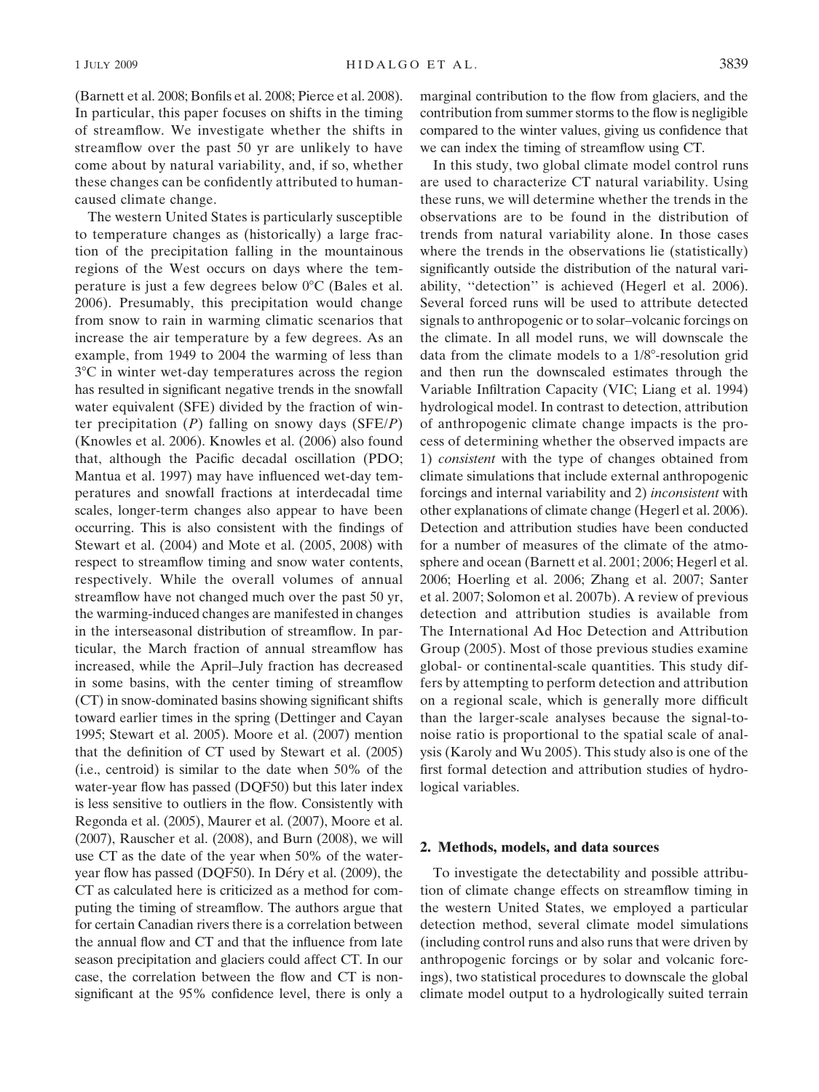(Barnett et al. 2008; Bonfils et al. 2008; Pierce et al. 2008). In particular, this paper focuses on shifts in the timing of streamflow. We investigate whether the shifts in streamflow over the past 50 yr are unlikely to have come about by natural variability, and, if so, whether these changes can be confidently attributed to humancaused climate change.

The western United States is particularly susceptible to temperature changes as (historically) a large fraction of the precipitation falling in the mountainous regions of the West occurs on days where the temperature is just a few degrees below  $0^{\circ}$ C (Bales et al. 2006). Presumably, this precipitation would change from snow to rain in warming climatic scenarios that increase the air temperature by a few degrees. As an example, from 1949 to 2004 the warming of less than  $3^{\circ}$ C in winter wet-day temperatures across the region has resulted in significant negative trends in the snowfall water equivalent (SFE) divided by the fraction of winter precipitation  $(P)$  falling on snowy days  $(SFE/P)$ (Knowles et al. 2006). Knowles et al. (2006) also found that, although the Pacific decadal oscillation (PDO; Mantua et al. 1997) may have influenced wet-day temperatures and snowfall fractions at interdecadal time scales, longer-term changes also appear to have been occurring. This is also consistent with the findings of Stewart et al. (2004) and Mote et al. (2005, 2008) with respect to streamflow timing and snow water contents, respectively. While the overall volumes of annual streamflow have not changed much over the past 50 yr, the warming-induced changes are manifested in changes in the interseasonal distribution of streamflow. In particular, the March fraction of annual streamflow has increased, while the April–July fraction has decreased in some basins, with the center timing of streamflow (CT) in snow-dominated basins showing significant shifts toward earlier times in the spring (Dettinger and Cayan 1995; Stewart et al. 2005). Moore et al. (2007) mention that the definition of CT used by Stewart et al. (2005) (i.e., centroid) is similar to the date when 50% of the water-year flow has passed (DQF50) but this later index is less sensitive to outliers in the flow. Consistently with Regonda et al. (2005), Maurer et al. (2007), Moore et al. (2007), Rauscher et al. (2008), and Burn (2008), we will use CT as the date of the year when 50% of the wateryear flow has passed (DQF50). In Déry et al. (2009), the CT as calculated here is criticized as a method for computing the timing of streamflow. The authors argue that for certain Canadian rivers there is a correlation between the annual flow and CT and that the influence from late season precipitation and glaciers could affect CT. In our case, the correlation between the flow and CT is nonsignificant at the 95% confidence level, there is only a

marginal contribution to the flow from glaciers, and the contribution from summer storms to the flow is negligible compared to the winter values, giving us confidence that we can index the timing of streamflow using CT.

In this study, two global climate model control runs are used to characterize CT natural variability. Using these runs, we will determine whether the trends in the observations are to be found in the distribution of trends from natural variability alone. In those cases where the trends in the observations lie (statistically) significantly outside the distribution of the natural variability, ''detection'' is achieved (Hegerl et al. 2006). Several forced runs will be used to attribute detected signals to anthropogenic or to solar–volcanic forcings on the climate. In all model runs, we will downscale the data from the climate models to a  $1/8^{\circ}$ -resolution grid and then run the downscaled estimates through the Variable Infiltration Capacity (VIC; Liang et al. 1994) hydrological model. In contrast to detection, attribution of anthropogenic climate change impacts is the process of determining whether the observed impacts are 1) consistent with the type of changes obtained from climate simulations that include external anthropogenic forcings and internal variability and 2) inconsistent with other explanations of climate change (Hegerl et al. 2006). Detection and attribution studies have been conducted for a number of measures of the climate of the atmosphere and ocean (Barnett et al. 2001; 2006; Hegerl et al. 2006; Hoerling et al. 2006; Zhang et al. 2007; Santer et al. 2007; Solomon et al. 2007b). A review of previous detection and attribution studies is available from The International Ad Hoc Detection and Attribution Group (2005). Most of those previous studies examine global- or continental-scale quantities. This study differs by attempting to perform detection and attribution on a regional scale, which is generally more difficult than the larger-scale analyses because the signal-tonoise ratio is proportional to the spatial scale of analysis (Karoly and Wu 2005). This study also is one of the first formal detection and attribution studies of hydrological variables.

#### 2. Methods, models, and data sources

To investigate the detectability and possible attribution of climate change effects on streamflow timing in the western United States, we employed a particular detection method, several climate model simulations (including control runs and also runs that were driven by anthropogenic forcings or by solar and volcanic forcings), two statistical procedures to downscale the global climate model output to a hydrologically suited terrain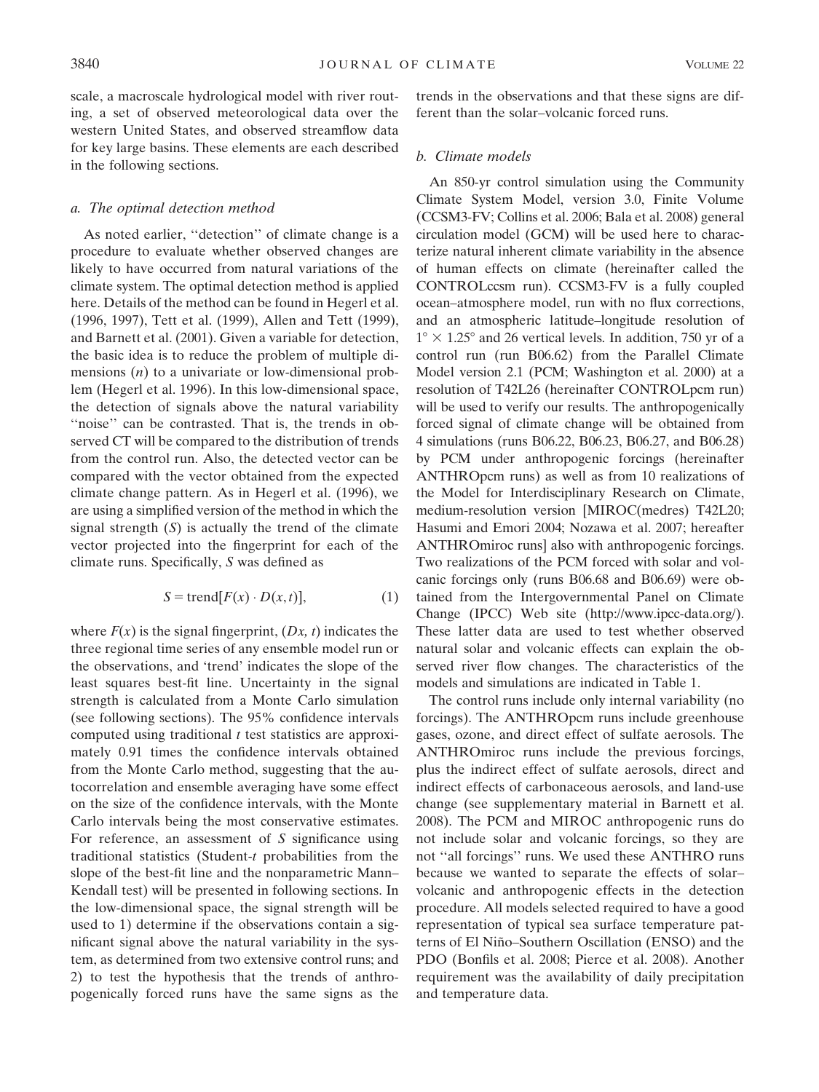scale, a macroscale hydrological model with river routing, a set of observed meteorological data over the western United States, and observed streamflow data for key large basins. These elements are each described in the following sections.

#### a. The optimal detection method

As noted earlier, ''detection'' of climate change is a procedure to evaluate whether observed changes are likely to have occurred from natural variations of the climate system. The optimal detection method is applied here. Details of the method can be found in Hegerl et al. (1996, 1997), Tett et al. (1999), Allen and Tett (1999), and Barnett et al. (2001). Given a variable for detection, the basic idea is to reduce the problem of multiple dimensions  $(n)$  to a univariate or low-dimensional problem (Hegerl et al. 1996). In this low-dimensional space, the detection of signals above the natural variability "noise" can be contrasted. That is, the trends in observed CT will be compared to the distribution of trends from the control run. Also, the detected vector can be compared with the vector obtained from the expected climate change pattern. As in Hegerl et al. (1996), we are using a simplified version of the method in which the signal strength  $(S)$  is actually the trend of the climate vector projected into the fingerprint for each of the climate runs. Specifically, S was defined as

$$
S = \text{trend}[F(x) \cdot D(x, t)],\tag{1}
$$

where  $F(x)$  is the signal fingerprint,  $(Dx, t)$  indicates the three regional time series of any ensemble model run or the observations, and 'trend' indicates the slope of the least squares best-fit line. Uncertainty in the signal strength is calculated from a Monte Carlo simulation (see following sections). The 95% confidence intervals computed using traditional  $t$  test statistics are approximately 0.91 times the confidence intervals obtained from the Monte Carlo method, suggesting that the autocorrelation and ensemble averaging have some effect on the size of the confidence intervals, with the Monte Carlo intervals being the most conservative estimates. For reference, an assessment of S significance using traditional statistics (Student-t probabilities from the slope of the best-fit line and the nonparametric Mann– Kendall test) will be presented in following sections. In the low-dimensional space, the signal strength will be used to 1) determine if the observations contain a significant signal above the natural variability in the system, as determined from two extensive control runs; and 2) to test the hypothesis that the trends of anthropogenically forced runs have the same signs as the trends in the observations and that these signs are different than the solar–volcanic forced runs.

## b. Climate models

An 850-yr control simulation using the Community Climate System Model, version 3.0, Finite Volume (CCSM3-FV; Collins et al. 2006; Bala et al. 2008) general circulation model (GCM) will be used here to characterize natural inherent climate variability in the absence of human effects on climate (hereinafter called the CONTROLccsm run). CCSM3-FV is a fully coupled ocean–atmosphere model, run with no flux corrections, and an atmospheric latitude–longitude resolution of  $1^{\circ} \times 1.25^{\circ}$  and 26 vertical levels. In addition, 750 yr of a control run (run B06.62) from the Parallel Climate Model version 2.1 (PCM; Washington et al. 2000) at a resolution of T42L26 (hereinafter CONTROLpcm run) will be used to verify our results. The anthropogenically forced signal of climate change will be obtained from 4 simulations (runs B06.22, B06.23, B06.27, and B06.28) by PCM under anthropogenic forcings (hereinafter ANTHROpcm runs) as well as from 10 realizations of the Model for Interdisciplinary Research on Climate, medium-resolution version [MIROC(medres) T42L20; Hasumi and Emori 2004; Nozawa et al. 2007; hereafter ANTHROmiroc runs] also with anthropogenic forcings. Two realizations of the PCM forced with solar and volcanic forcings only (runs B06.68 and B06.69) were obtained from the Intergovernmental Panel on Climate Change (IPCC) Web site (http://www.ipcc-data.org/). These latter data are used to test whether observed natural solar and volcanic effects can explain the observed river flow changes. The characteristics of the models and simulations are indicated in Table 1.

The control runs include only internal variability (no forcings). The ANTHROpcm runs include greenhouse gases, ozone, and direct effect of sulfate aerosols. The ANTHROmiroc runs include the previous forcings, plus the indirect effect of sulfate aerosols, direct and indirect effects of carbonaceous aerosols, and land-use change (see supplementary material in Barnett et al. 2008). The PCM and MIROC anthropogenic runs do not include solar and volcanic forcings, so they are not ''all forcings'' runs. We used these ANTHRO runs because we wanted to separate the effects of solar– volcanic and anthropogenic effects in the detection procedure. All models selected required to have a good representation of typical sea surface temperature patterns of El Niño–Southern Oscillation (ENSO) and the PDO (Bonfils et al. 2008; Pierce et al. 2008). Another requirement was the availability of daily precipitation and temperature data.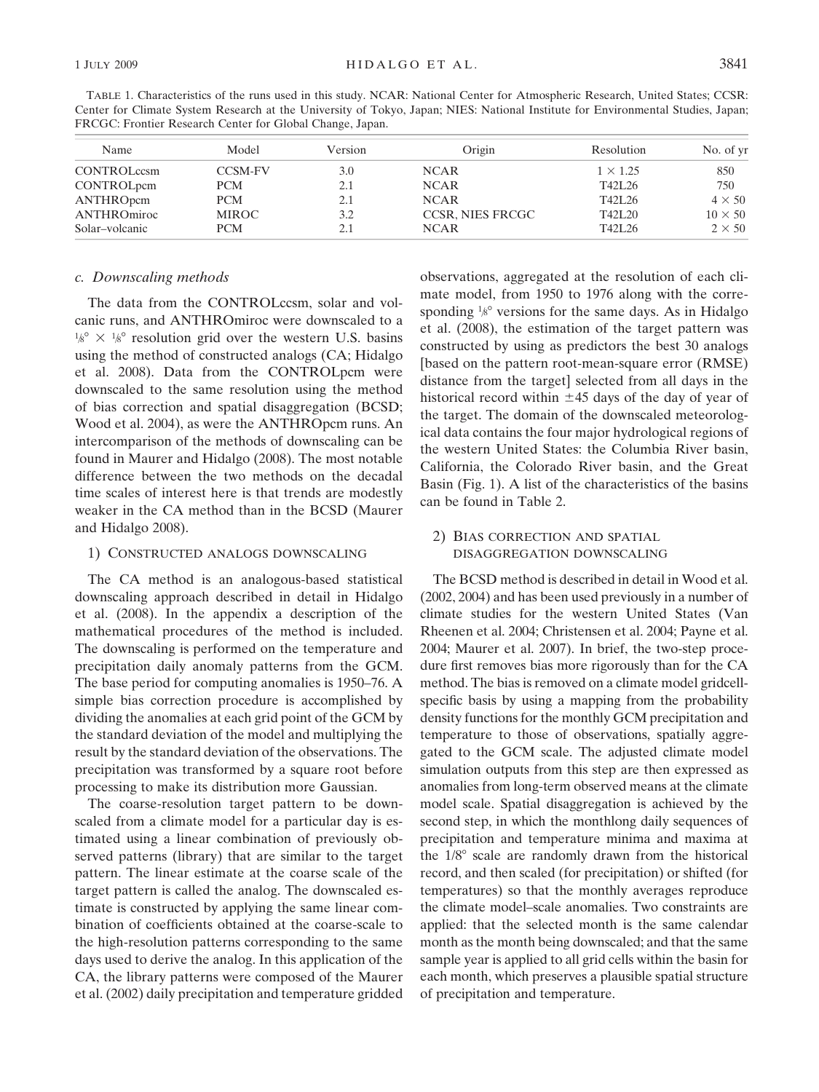TABLE 1. Characteristics of the runs used in this study. NCAR: National Center for Atmospheric Research, United States; CCSR: Center for Climate System Research at the University of Tokyo, Japan; NIES: National Institute for Environmental Studies, Japan; FRCGC: Frontier Research Center for Global Change, Japan.

| Name                   | Model          | Version | Origin           | Resolution                      | No. of yr      |
|------------------------|----------------|---------|------------------|---------------------------------|----------------|
| CONTROLccsm            | <b>CCSM-FV</b> | 3.0     | <b>NCAR</b>      | $1 \times 1.25$                 | 850            |
| CONTROL <sub>pcm</sub> | <b>PCM</b>     | 2.1     | <b>NCAR</b>      | T <sub>42</sub> I <sub>26</sub> | 750            |
| ANTHROpcm              | <b>PCM</b>     | 2.1     | <b>NCAR</b>      | T <sub>42</sub> I <sub>26</sub> | $4 \times 50$  |
| ANTHROmiroc            | <b>MIROC</b>   | 3.2     | CCSR, NIES FRCGC | T42L20                          | $10 \times 50$ |
| Solar-volcanic         | <b>PCM</b>     | 2.1     | <b>NCAR</b>      | T <sub>42</sub> I <sub>26</sub> | $2 \times 50$  |

### c. Downscaling methods

The data from the CONTROLccsm, solar and volcanic runs, and ANTHROmiroc were downscaled to a  $1/8^\circ \times 1/8^\circ$  resolution grid over the western U.S. basins using the method of constructed analogs (CA; Hidalgo et al. 2008). Data from the CONTROLpcm were downscaled to the same resolution using the method of bias correction and spatial disaggregation (BCSD; Wood et al. 2004), as were the ANTHROpcm runs. An intercomparison of the methods of downscaling can be found in Maurer and Hidalgo (2008). The most notable difference between the two methods on the decadal time scales of interest here is that trends are modestly weaker in the CA method than in the BCSD (Maurer and Hidalgo 2008).

#### 1) CONSTRUCTED ANALOGS DOWNSCALING

The CA method is an analogous-based statistical downscaling approach described in detail in Hidalgo et al. (2008). In the appendix a description of the mathematical procedures of the method is included. The downscaling is performed on the temperature and precipitation daily anomaly patterns from the GCM. The base period for computing anomalies is 1950–76. A simple bias correction procedure is accomplished by dividing the anomalies at each grid point of the GCM by the standard deviation of the model and multiplying the result by the standard deviation of the observations. The precipitation was transformed by a square root before processing to make its distribution more Gaussian.

The coarse-resolution target pattern to be downscaled from a climate model for a particular day is estimated using a linear combination of previously observed patterns (library) that are similar to the target pattern. The linear estimate at the coarse scale of the target pattern is called the analog. The downscaled estimate is constructed by applying the same linear combination of coefficients obtained at the coarse-scale to the high-resolution patterns corresponding to the same days used to derive the analog. In this application of the CA, the library patterns were composed of the Maurer et al. (2002) daily precipitation and temperature gridded observations, aggregated at the resolution of each climate model, from 1950 to 1976 along with the corresponding  $\frac{1}{8}$ ° versions for the same days. As in Hidalgo et al. (2008), the estimation of the target pattern was constructed by using as predictors the best 30 analogs [based on the pattern root-mean-square error (RMSE) distance from the target] selected from all days in the historical record within  $\pm 45$  days of the day of year of the target. The domain of the downscaled meteorological data contains the four major hydrological regions of the western United States: the Columbia River basin, California, the Colorado River basin, and the Great Basin (Fig. 1). A list of the characteristics of the basins can be found in Table 2.

## 2) BIAS CORRECTION AND SPATIAL DISAGGREGATION DOWNSCALING

The BCSD method is described in detail in Wood et al. (2002, 2004) and has been used previously in a number of climate studies for the western United States (Van Rheenen et al. 2004; Christensen et al. 2004; Payne et al. 2004; Maurer et al. 2007). In brief, the two-step procedure first removes bias more rigorously than for the CA method. The bias is removed on a climate model gridcellspecific basis by using a mapping from the probability density functions for the monthly GCM precipitation and temperature to those of observations, spatially aggregated to the GCM scale. The adjusted climate model simulation outputs from this step are then expressed as anomalies from long-term observed means at the climate model scale. Spatial disaggregation is achieved by the second step, in which the monthlong daily sequences of precipitation and temperature minima and maxima at the  $1/8^{\circ}$  scale are randomly drawn from the historical record, and then scaled (for precipitation) or shifted (for temperatures) so that the monthly averages reproduce the climate model–scale anomalies. Two constraints are applied: that the selected month is the same calendar month as the month being downscaled; and that the same sample year is applied to all grid cells within the basin for each month, which preserves a plausible spatial structure of precipitation and temperature.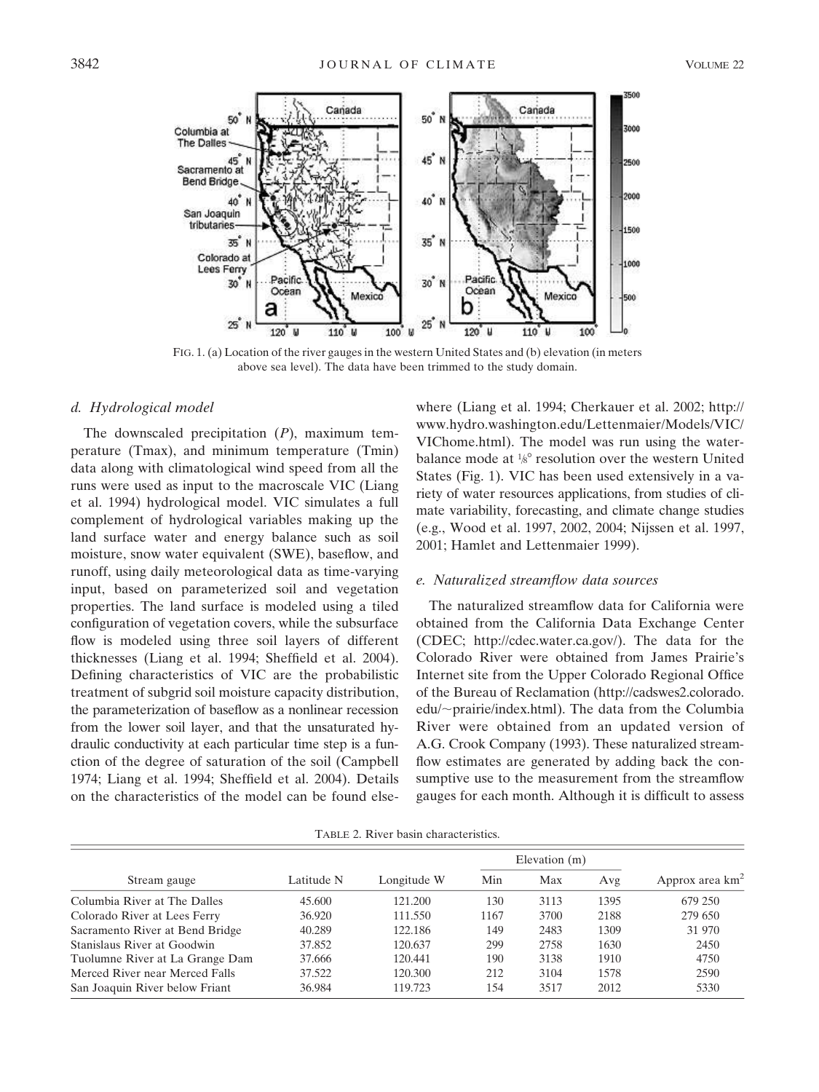

FIG. 1. (a) Location of the river gauges in the western United States and (b) elevation (in meters above sea level). The data have been trimmed to the study domain.

#### d. Hydrological model

The downscaled precipitation  $(P)$ , maximum temperature (Tmax), and minimum temperature (Tmin) data along with climatological wind speed from all the runs were used as input to the macroscale VIC (Liang et al. 1994) hydrological model. VIC simulates a full complement of hydrological variables making up the land surface water and energy balance such as soil moisture, snow water equivalent (SWE), baseflow, and runoff, using daily meteorological data as time-varying input, based on parameterized soil and vegetation properties. The land surface is modeled using a tiled configuration of vegetation covers, while the subsurface flow is modeled using three soil layers of different thicknesses (Liang et al. 1994; Sheffield et al. 2004). Defining characteristics of VIC are the probabilistic treatment of subgrid soil moisture capacity distribution, the parameterization of baseflow as a nonlinear recession from the lower soil layer, and that the unsaturated hydraulic conductivity at each particular time step is a function of the degree of saturation of the soil (Campbell 1974; Liang et al. 1994; Sheffield et al. 2004). Details on the characteristics of the model can be found elsewhere (Liang et al. 1994; Cherkauer et al. 2002; http:// www.hydro.washington.edu/Lettenmaier/Models/VIC/ VIChome.html). The model was run using the waterbalance mode at  $\frac{1}{8}$ ° resolution over the western United States (Fig. 1). VIC has been used extensively in a variety of water resources applications, from studies of climate variability, forecasting, and climate change studies (e.g., Wood et al. 1997, 2002, 2004; Nijssen et al. 1997, 2001; Hamlet and Lettenmaier 1999).

### e. Naturalized streamflow data sources

The naturalized streamflow data for California were obtained from the California Data Exchange Center (CDEC; http://cdec.water.ca.gov/). The data for the Colorado River were obtained from James Prairie's Internet site from the Upper Colorado Regional Office of the Bureau of Reclamation (http://cadswes2.colorado.  $edu$  $\sim$ prairie/index.html). The data from the Columbia River were obtained from an updated version of A.G. Crook Company (1993). These naturalized streamflow estimates are generated by adding back the consumptive use to the measurement from the streamflow gauges for each month. Although it is difficult to assess

| TABLE 2. River basin characteristics. |          |
|---------------------------------------|----------|
|                                       | Elevatio |

|                                 |            | Longitude W | Elevation (m) |      |      |                             |
|---------------------------------|------------|-------------|---------------|------|------|-----------------------------|
| Stream gauge                    | Latitude N |             | Min           | Max  | Avg  | Approx area km <sup>2</sup> |
| Columbia River at The Dalles    | 45.600     | 121.200     | 130           | 3113 | 1395 | 679 250                     |
| Colorado River at Lees Ferry    | 36.920     | 111.550     | 1167          | 3700 | 2188 | 279 650                     |
| Sacramento River at Bend Bridge | 40.289     | 122.186     | 149           | 2483 | 1309 | 31 970                      |
| Stanislaus River at Goodwin     | 37.852     | 120.637     | 299           | 2758 | 1630 | 2450                        |
| Tuolumne River at La Grange Dam | 37.666     | 120.441     | 190           | 3138 | 1910 | 4750                        |
| Merced River near Merced Falls  | 37.522     | 120.300     | 212           | 3104 | 1578 | 2590                        |
| San Joaquin River below Friant  | 36.984     | 119.723     | 154           | 3517 | 2012 | 5330                        |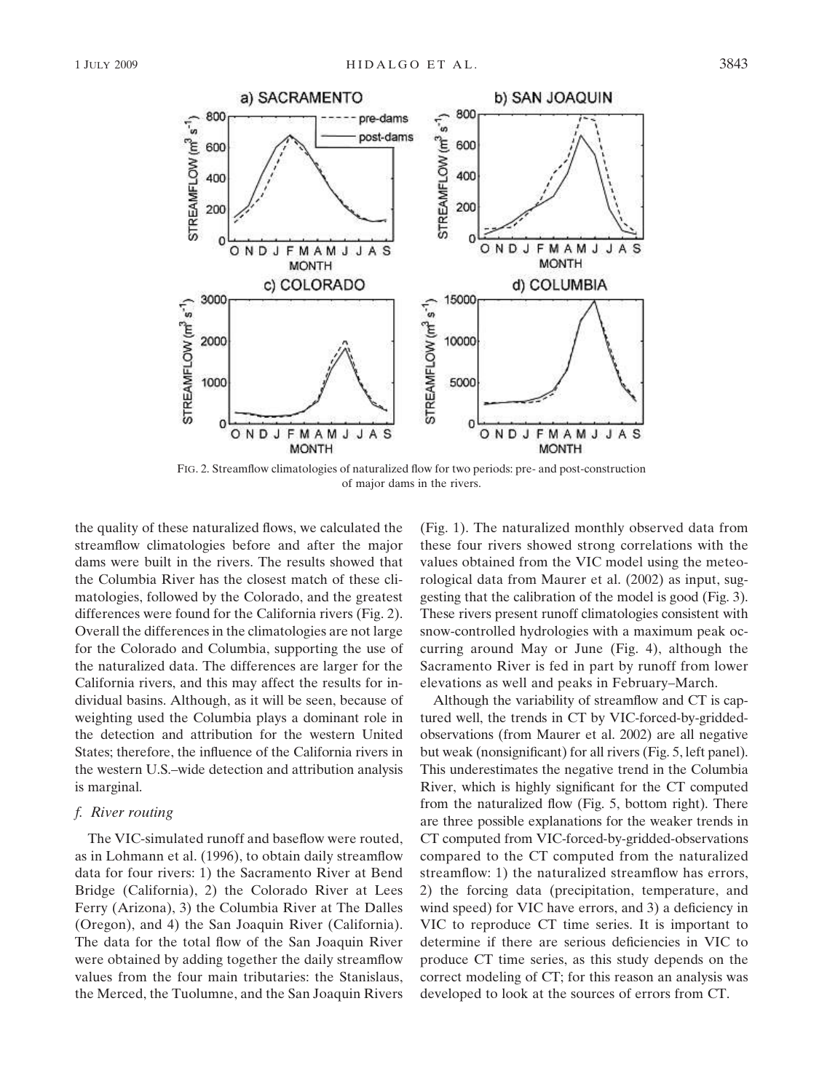

FIG. 2. Streamflow climatologies of naturalized flow for two periods: pre- and post-construction of major dams in the rivers.

the quality of these naturalized flows, we calculated the streamflow climatologies before and after the major dams were built in the rivers. The results showed that the Columbia River has the closest match of these climatologies, followed by the Colorado, and the greatest differences were found for the California rivers (Fig. 2). Overall the differences in the climatologies are not large for the Colorado and Columbia, supporting the use of the naturalized data. The differences are larger for the California rivers, and this may affect the results for individual basins. Although, as it will be seen, because of weighting used the Columbia plays a dominant role in the detection and attribution for the western United States; therefore, the influence of the California rivers in the western U.S.–wide detection and attribution analysis is marginal.

### f. River routing

The VIC-simulated runoff and baseflow were routed, as in Lohmann et al. (1996), to obtain daily streamflow data for four rivers: 1) the Sacramento River at Bend Bridge (California), 2) the Colorado River at Lees Ferry (Arizona), 3) the Columbia River at The Dalles (Oregon), and 4) the San Joaquin River (California). The data for the total flow of the San Joaquin River were obtained by adding together the daily streamflow values from the four main tributaries: the Stanislaus, the Merced, the Tuolumne, and the San Joaquin Rivers

(Fig. 1). The naturalized monthly observed data from these four rivers showed strong correlations with the values obtained from the VIC model using the meteorological data from Maurer et al. (2002) as input, suggesting that the calibration of the model is good (Fig. 3). These rivers present runoff climatologies consistent with snow-controlled hydrologies with a maximum peak occurring around May or June (Fig. 4), although the Sacramento River is fed in part by runoff from lower elevations as well and peaks in February–March.

Although the variability of streamflow and CT is captured well, the trends in CT by VIC-forced-by-griddedobservations (from Maurer et al. 2002) are all negative but weak (nonsignificant) for all rivers (Fig. 5, left panel). This underestimates the negative trend in the Columbia River, which is highly significant for the CT computed from the naturalized flow (Fig. 5, bottom right). There are three possible explanations for the weaker trends in CT computed from VIC-forced-by-gridded-observations compared to the CT computed from the naturalized streamflow: 1) the naturalized streamflow has errors, 2) the forcing data (precipitation, temperature, and wind speed) for VIC have errors, and 3) a deficiency in VIC to reproduce CT time series. It is important to determine if there are serious deficiencies in VIC to produce CT time series, as this study depends on the correct modeling of CT; for this reason an analysis was developed to look at the sources of errors from CT.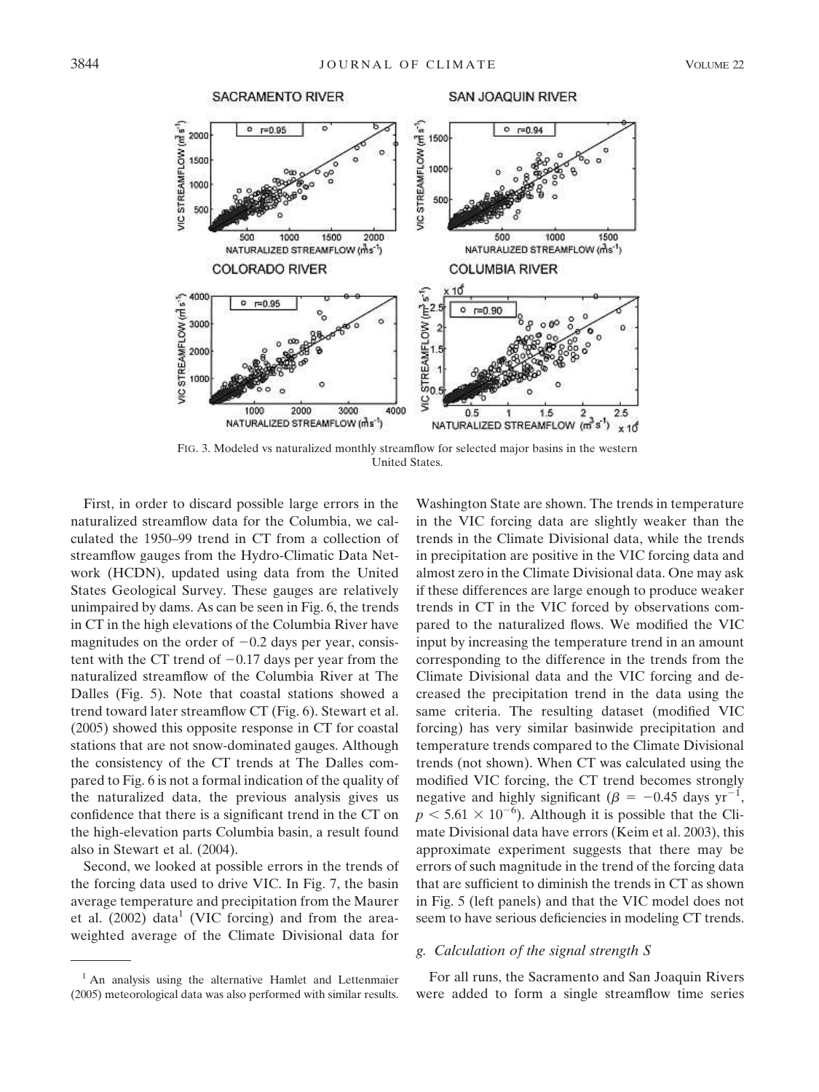

FIG. 3. Modeled vs naturalized monthly streamflow for selected major basins in the western United States.

First, in order to discard possible large errors in the naturalized streamflow data for the Columbia, we calculated the 1950–99 trend in CT from a collection of streamflow gauges from the Hydro-Climatic Data Network (HCDN), updated using data from the United States Geological Survey. These gauges are relatively unimpaired by dams. As can be seen in Fig. 6, the trends in CT in the high elevations of the Columbia River have magnitudes on the order of  $-0.2$  days per year, consistent with the CT trend of  $-0.17$  days per year from the naturalized streamflow of the Columbia River at The Dalles (Fig. 5). Note that coastal stations showed a trend toward later streamflow CT (Fig. 6). Stewart et al. (2005) showed this opposite response in CT for coastal stations that are not snow-dominated gauges. Although the consistency of the CT trends at The Dalles compared to Fig. 6 is not a formal indication of the quality of the naturalized data, the previous analysis gives us confidence that there is a significant trend in the CT on the high-elevation parts Columbia basin, a result found also in Stewart et al. (2004).

Second, we looked at possible errors in the trends of the forcing data used to drive VIC. In Fig. 7, the basin average temperature and precipitation from the Maurer et al.  $(2002)$  data<sup>1</sup> (VIC forcing) and from the areaweighted average of the Climate Divisional data for

Washington State are shown. The trends in temperature in the VIC forcing data are slightly weaker than the trends in the Climate Divisional data, while the trends in precipitation are positive in the VIC forcing data and almost zero in the Climate Divisional data. One may ask if these differences are large enough to produce weaker trends in CT in the VIC forced by observations compared to the naturalized flows. We modified the VIC input by increasing the temperature trend in an amount corresponding to the difference in the trends from the Climate Divisional data and the VIC forcing and decreased the precipitation trend in the data using the same criteria. The resulting dataset (modified VIC forcing) has very similar basinwide precipitation and temperature trends compared to the Climate Divisional trends (not shown). When CT was calculated using the modified VIC forcing, the CT trend becomes strongly negative and highly significant ( $\beta = -0.45$  days yr<sup>-1</sup>,  $p \le 5.61 \times 10^{-6}$ ). Although it is possible that the Climate Divisional data have errors (Keim et al. 2003), this approximate experiment suggests that there may be errors of such magnitude in the trend of the forcing data that are sufficient to diminish the trends in CT as shown in Fig. 5 (left panels) and that the VIC model does not seem to have serious deficiencies in modeling CT trends.

## g. Calculation of the signal strength S

For all runs, the Sacramento and San Joaquin Rivers were added to form a single streamflow time series

<sup>&</sup>lt;sup>1</sup> An analysis using the alternative Hamlet and Lettenmaier (2005) meteorological data was also performed with similar results.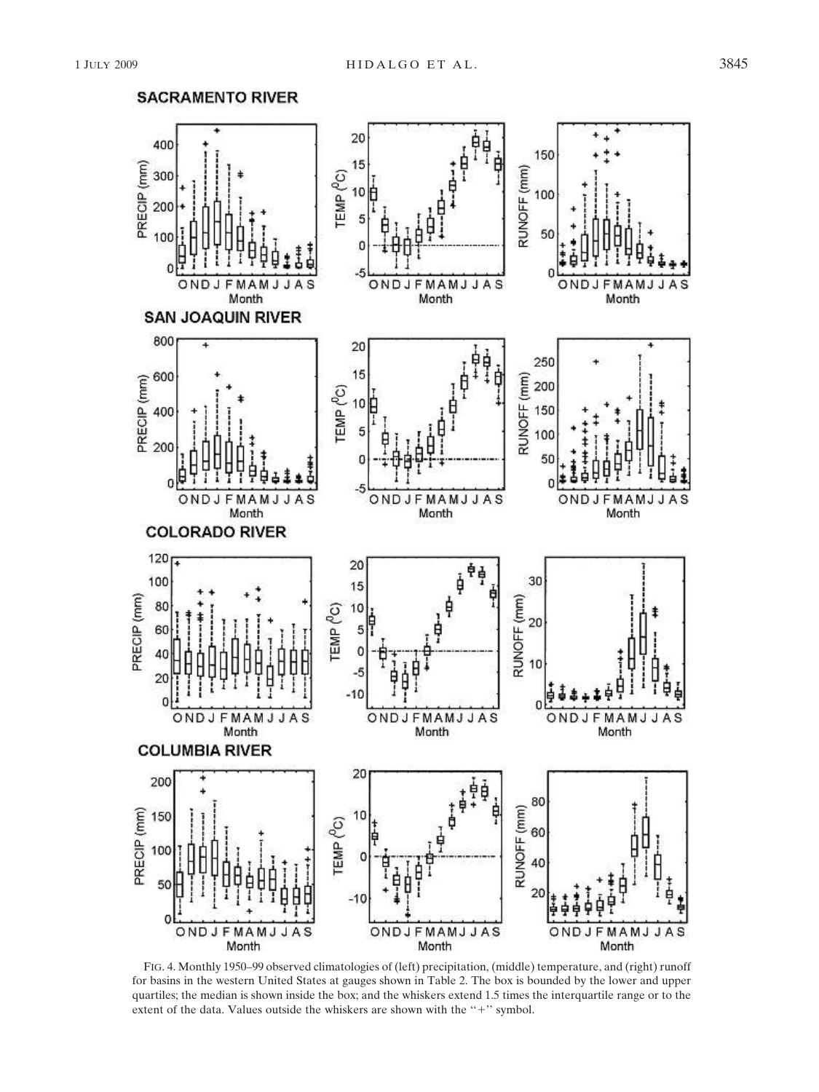### **SACRAMENTO RIVER**



FIG. 4. Monthly 1950–99 observed climatologies of (left) precipitation, (middle) temperature, and (right) runoff for basins in the western United States at gauges shown in Table 2. The box is bounded by the lower and upper quartiles; the median is shown inside the box; and the whiskers extend 1.5 times the interquartile range or to the extent of the data. Values outside the whiskers are shown with the "+" symbol.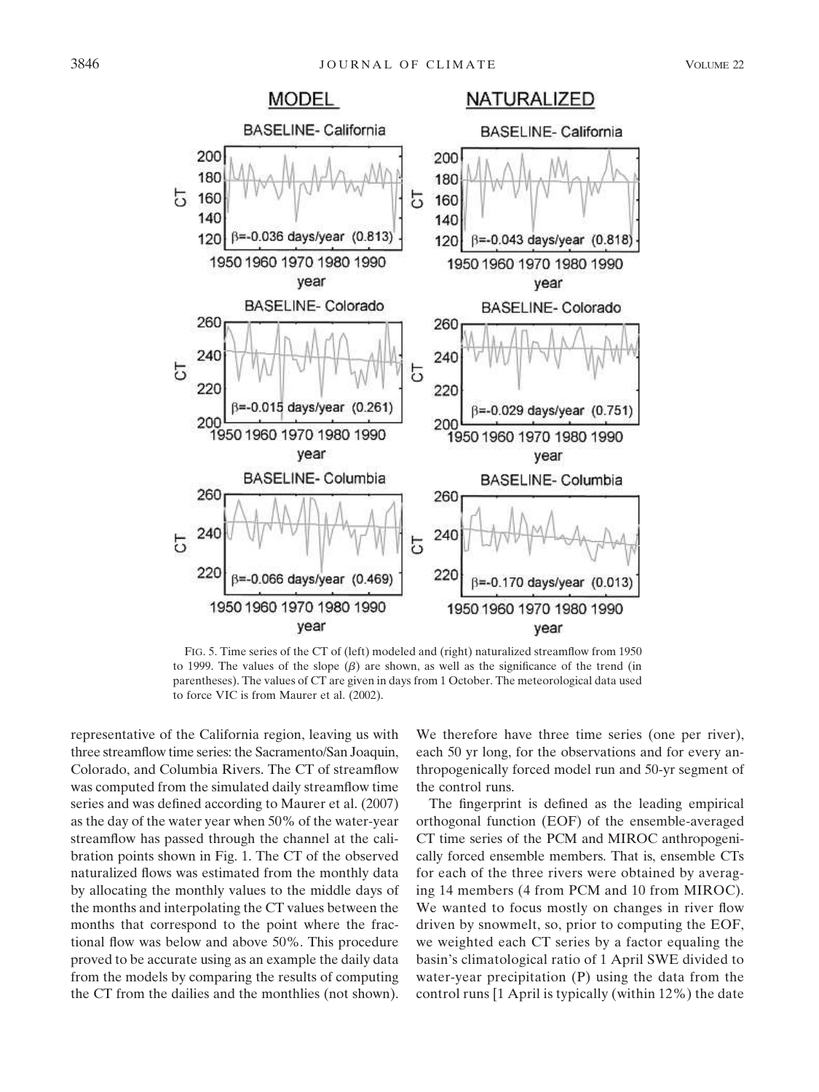

FIG. 5. Time series of the CT of (left) modeled and (right) naturalized streamflow from 1950 to 1999. The values of the slope  $(\beta)$  are shown, as well as the significance of the trend (in parentheses). The values of CT are given in days from 1 October. The meteorological data used to force VIC is from Maurer et al. (2002).

representative of the California region, leaving us with three streamflow time series: the Sacramento/San Joaquin, Colorado, and Columbia Rivers. The CT of streamflow was computed from the simulated daily streamflow time series and was defined according to Maurer et al. (2007) as the day of the water year when 50% of the water-year streamflow has passed through the channel at the calibration points shown in Fig. 1. The CT of the observed naturalized flows was estimated from the monthly data by allocating the monthly values to the middle days of the months and interpolating the CT values between the months that correspond to the point where the fractional flow was below and above 50%. This procedure proved to be accurate using as an example the daily data from the models by comparing the results of computing the CT from the dailies and the monthlies (not shown).

We therefore have three time series (one per river), each 50 yr long, for the observations and for every anthropogenically forced model run and 50-yr segment of the control runs.

The fingerprint is defined as the leading empirical orthogonal function (EOF) of the ensemble-averaged CT time series of the PCM and MIROC anthropogenically forced ensemble members. That is, ensemble CTs for each of the three rivers were obtained by averaging 14 members (4 from PCM and 10 from MIROC). We wanted to focus mostly on changes in river flow driven by snowmelt, so, prior to computing the EOF, we weighted each CT series by a factor equaling the basin's climatological ratio of 1 April SWE divided to water-year precipitation (P) using the data from the control runs [1 April is typically (within 12%) the date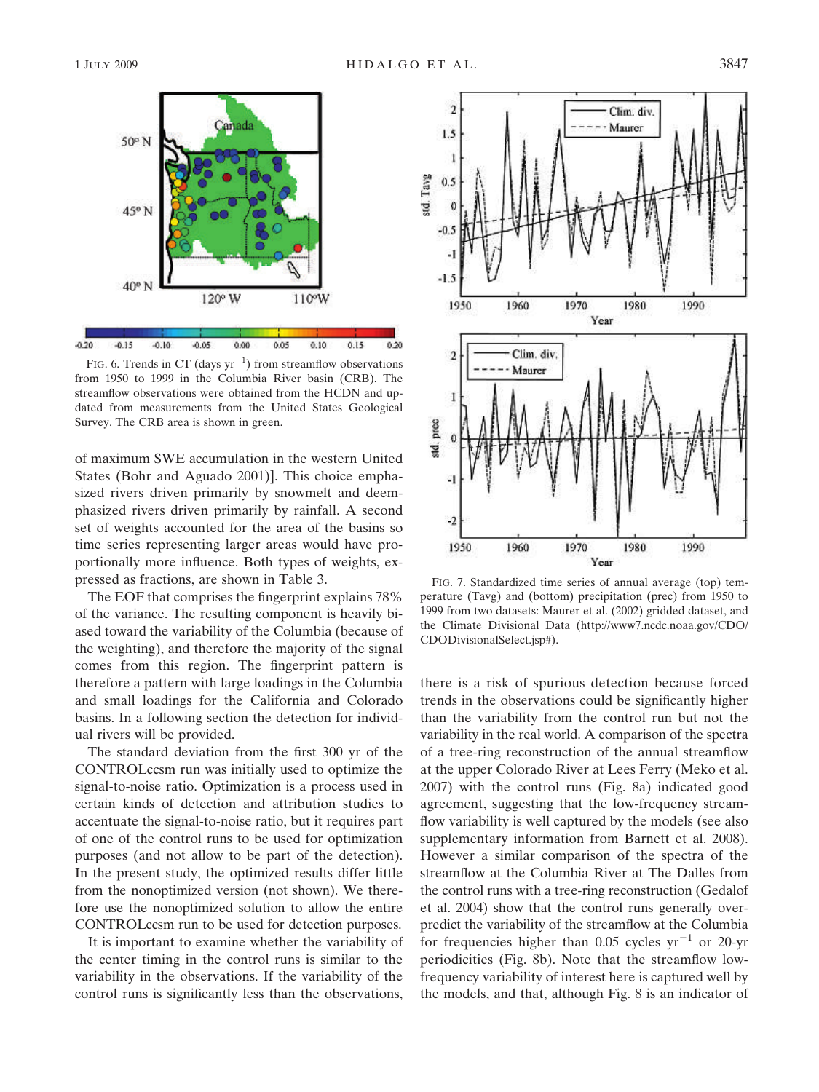$0.20$ 



FIG. 6. Trends in CT (days  $yr^{-1}$ ) from streamflow observations from 1950 to 1999 in the Columbia River basin (CRB). The streamflow observations were obtained from the HCDN and updated from measurements from the United States Geological Survey. The CRB area is shown in green.

of maximum SWE accumulation in the western United States (Bohr and Aguado 2001)]. This choice emphasized rivers driven primarily by snowmelt and deemphasized rivers driven primarily by rainfall. A second set of weights accounted for the area of the basins so time series representing larger areas would have proportionally more influence. Both types of weights, expressed as fractions, are shown in Table 3.

The EOF that comprises the fingerprint explains 78% of the variance. The resulting component is heavily biased toward the variability of the Columbia (because of the weighting), and therefore the majority of the signal comes from this region. The fingerprint pattern is therefore a pattern with large loadings in the Columbia and small loadings for the California and Colorado basins. In a following section the detection for individual rivers will be provided.

The standard deviation from the first 300 yr of the CONTROLccsm run was initially used to optimize the signal-to-noise ratio. Optimization is a process used in certain kinds of detection and attribution studies to accentuate the signal-to-noise ratio, but it requires part of one of the control runs to be used for optimization purposes (and not allow to be part of the detection). In the present study, the optimized results differ little from the nonoptimized version (not shown). We therefore use the nonoptimized solution to allow the entire CONTROLccsm run to be used for detection purposes.

It is important to examine whether the variability of the center timing in the control runs is similar to the variability in the observations. If the variability of the control runs is significantly less than the observations,



FIG. 7. Standardized time series of annual average (top) temperature (Tavg) and (bottom) precipitation (prec) from 1950 to 1999 from two datasets: Maurer et al. (2002) gridded dataset, and the Climate Divisional Data (http://www7.ncdc.noaa.gov/CDO/ CDODivisionalSelect.jsp#).

there is a risk of spurious detection because forced trends in the observations could be significantly higher than the variability from the control run but not the variability in the real world. A comparison of the spectra of a tree-ring reconstruction of the annual streamflow at the upper Colorado River at Lees Ferry (Meko et al. 2007) with the control runs (Fig. 8a) indicated good agreement, suggesting that the low-frequency streamflow variability is well captured by the models (see also supplementary information from Barnett et al. 2008). However a similar comparison of the spectra of the streamflow at the Columbia River at The Dalles from the control runs with a tree-ring reconstruction (Gedalof et al. 2004) show that the control runs generally overpredict the variability of the streamflow at the Columbia for frequencies higher than 0.05 cycles  $yr^{-1}$  or 20-yr periodicities (Fig. 8b). Note that the streamflow lowfrequency variability of interest here is captured well by the models, and that, although Fig. 8 is an indicator of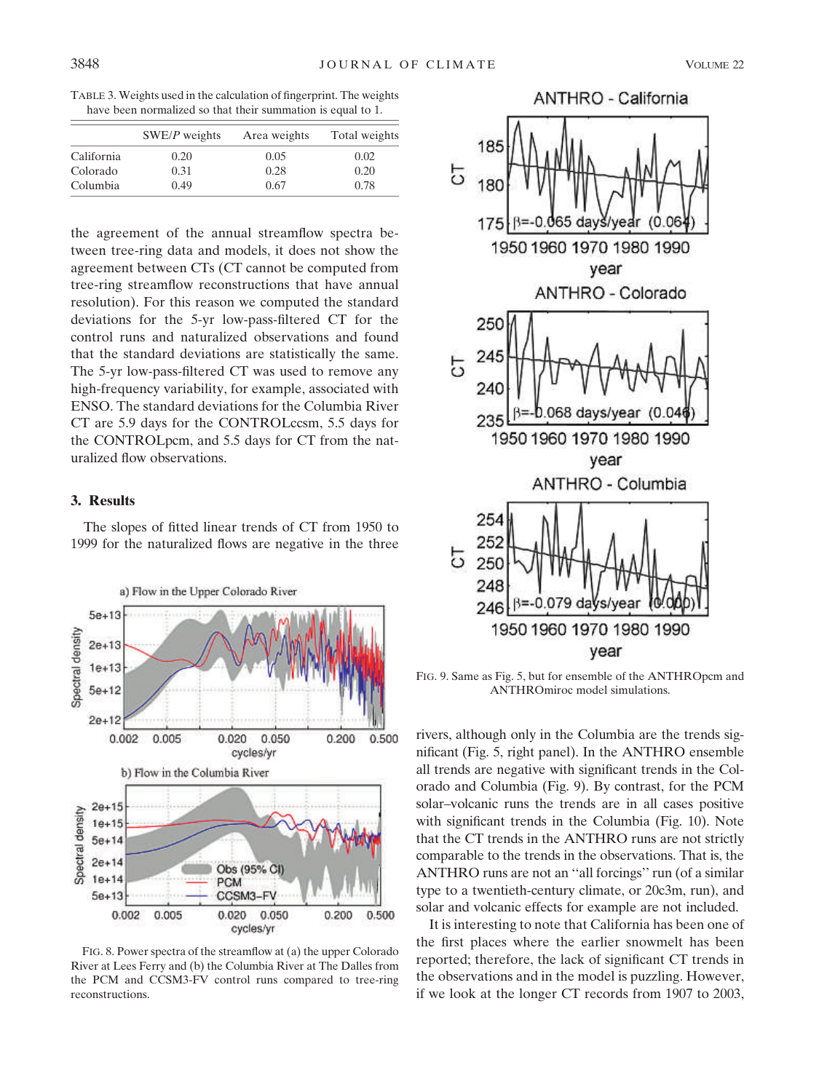TABLE 3. Weights used in the calculation of fingerprint. The weights have been normalized so that their summation is equal to 1.

|            | $SWE/P$ weights | Area weights | Total weights |
|------------|-----------------|--------------|---------------|
| California | 0.20            | 0.05         | 0.02          |
| Colorado   | 0.31            | 0.28         | 0.20          |
| Columbia   | 0.49            | 0.67         | 0.78          |

the agreement of the annual streamflow spectra between tree-ring data and models, it does not show the agreement between CTs (CT cannot be computed from tree-ring streamflow reconstructions that have annual resolution). For this reason we computed the standard deviations for the 5-yr low-pass-filtered CT for the control runs and naturalized observations and found that the standard deviations are statistically the same. The 5-yr low-pass-filtered CT was used to remove any high-frequency variability, for example, associated with ENSO. The standard deviations for the Columbia River CT are 5.9 days for the CONTROLccsm, 5.5 days for the CONTROLpcm, and 5.5 days for CT from the naturalized flow observations.

## 3. Results

The slopes of fitted linear trends of CT from 1950 to 1999 for the naturalized flows are negative in the three



FIG. 8. Power spectra of the streamflow at (a) the upper Colorado River at Lees Ferry and (b) the Columbia River at The Dalles from the PCM and CCSM3-FV control runs compared to tree-ring reconstructions.



FIG. 9. Same as Fig. 5, but for ensemble of the ANTHROpcm and ANTHROmiroc model simulations.

rivers, although only in the Columbia are the trends significant (Fig. 5, right panel). In the ANTHRO ensemble all trends are negative with significant trends in the Colorado and Columbia (Fig. 9). By contrast, for the PCM solar–volcanic runs the trends are in all cases positive with significant trends in the Columbia (Fig. 10). Note that the CT trends in the ANTHRO runs are not strictly comparable to the trends in the observations. That is, the ANTHRO runs are not an ''all forcings'' run (of a similar type to a twentieth-century climate, or 20c3m, run), and solar and volcanic effects for example are not included.

It is interesting to note that California has been one of the first places where the earlier snowmelt has been reported; therefore, the lack of significant CT trends in the observations and in the model is puzzling. However, if we look at the longer CT records from 1907 to 2003,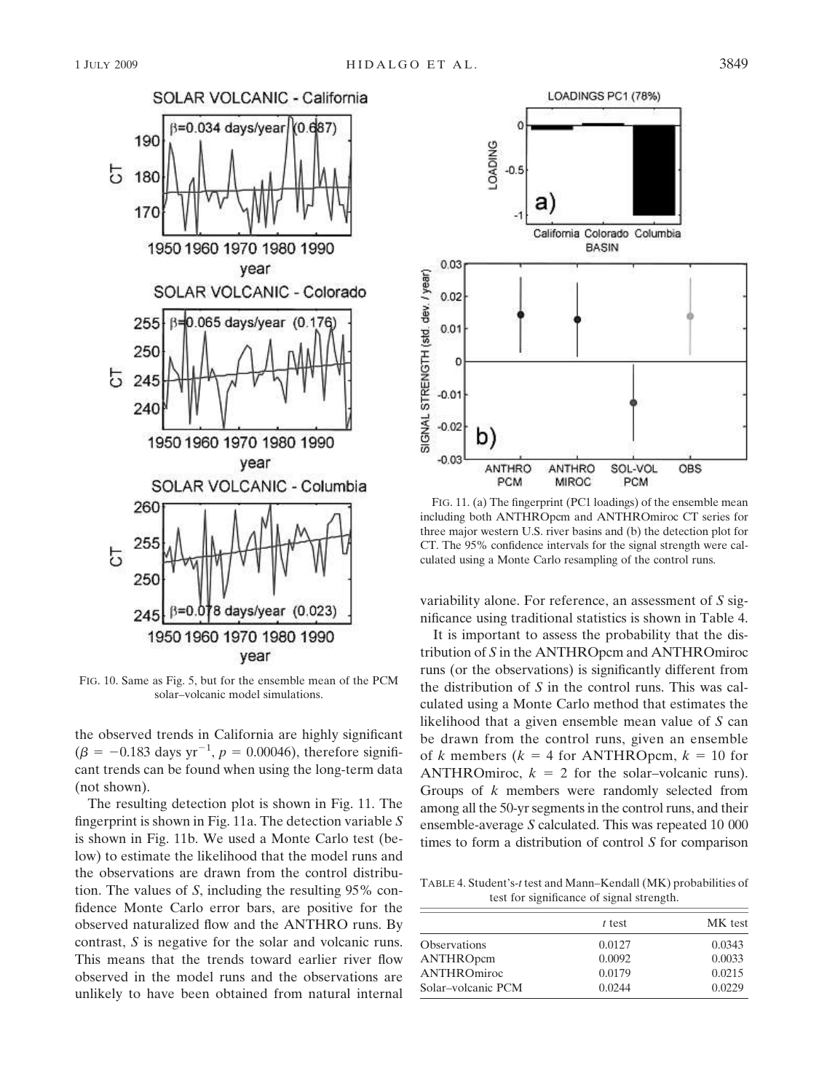

FIG. 10. Same as Fig. 5, but for the ensemble mean of the PCM solar–volcanic model simulations.

the observed trends in California are highly significant  $(\beta = -0.183 \text{ days yr}^{-1}, p = 0.00046)$ , therefore significant trends can be found when using the long-term data (not shown).

The resulting detection plot is shown in Fig. 11. The fingerprint is shown in Fig. 11a. The detection variable  $S$ is shown in Fig. 11b. We used a Monte Carlo test (below) to estimate the likelihood that the model runs and the observations are drawn from the control distribution. The values of S, including the resulting 95% confidence Monte Carlo error bars, are positive for the observed naturalized flow and the ANTHRO runs. By contrast, S is negative for the solar and volcanic runs. This means that the trends toward earlier river flow observed in the model runs and the observations are unlikely to have been obtained from natural internal



FIG. 11. (a) The fingerprint (PC1 loadings) of the ensemble mean including both ANTHROpcm and ANTHROmiroc CT series for three major western U.S. river basins and (b) the detection plot for CT. The 95% confidence intervals for the signal strength were calculated using a Monte Carlo resampling of the control runs.

variability alone. For reference, an assessment of S significance using traditional statistics is shown in Table 4.

It is important to assess the probability that the distribution of S in the ANTHROpcm and ANTHROmiroc runs (or the observations) is significantly different from the distribution of S in the control runs. This was calculated using a Monte Carlo method that estimates the likelihood that a given ensemble mean value of S can be drawn from the control runs, given an ensemble of k members ( $k = 4$  for ANTHROpcm,  $k = 10$  for ANTHROmiroc,  $k = 2$  for the solar–volcanic runs). Groups of  $k$  members were randomly selected from among all the 50-yr segments in the control runs, and their ensemble-average S calculated. This was repeated 10 000 times to form a distribution of control S for comparison

TABLE 4. Student's-t test and Mann–Kendall (MK) probabilities of test for significance of signal strength.

|                     | t test | MK test |
|---------------------|--------|---------|
| <b>Observations</b> | 0.0127 | 0.0343  |
| ANTHROpcm           | 0.0092 | 0.0033  |
| ANTHROmiroc         | 0.0179 | 0.0215  |
| Solar-volcanic PCM  | 0.0244 | 0.0229  |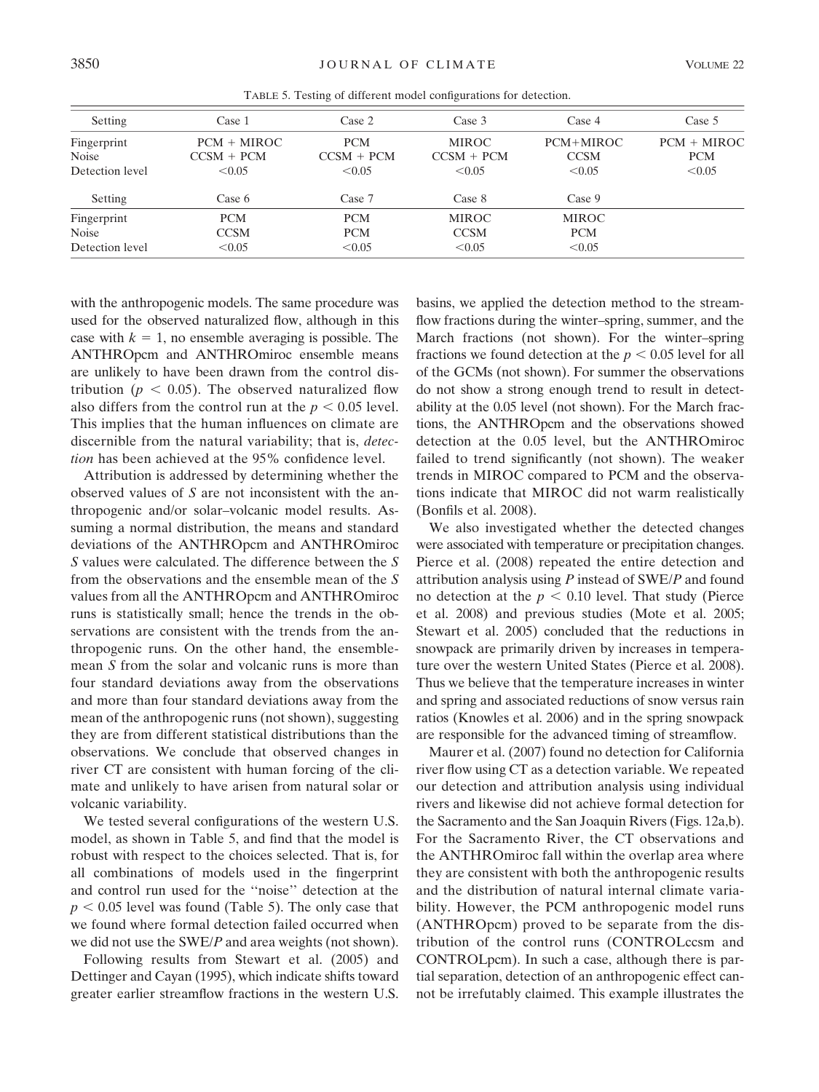| Setting                     | Case 1                        | Case 2                     | Case 3                       | Case 4                   | Case 5                      |
|-----------------------------|-------------------------------|----------------------------|------------------------------|--------------------------|-----------------------------|
| Fingerprint<br><b>Noise</b> | $PCM + MIROC$<br>$CCSM + PCM$ | <b>PCM</b><br>$CCSM + PCM$ | <b>MIROC</b><br>$CCSM + PCM$ | PCM+MIROC<br><b>CCSM</b> | $PCM + MIROC$<br><b>PCM</b> |
| Detection level             | < 0.05                        | < 0.05                     | < 0.05                       | < 0.05                   | < 0.05                      |
| Setting                     | Case 6                        | Case 7                     | Case 8                       | Case 9                   |                             |
| Fingerprint                 | <b>PCM</b>                    | <b>PCM</b>                 | <b>MIROC</b>                 | <b>MIROC</b>             |                             |
| Noise                       | <b>CCSM</b>                   | <b>PCM</b>                 | <b>CCSM</b>                  | <b>PCM</b>               |                             |
| Detection level             | < 0.05                        | < 0.05                     | < 0.05                       | < 0.05                   |                             |

TABLE 5. Testing of different model configurations for detection.

with the anthropogenic models. The same procedure was used for the observed naturalized flow, although in this case with  $k = 1$ , no ensemble averaging is possible. The ANTHROpcm and ANTHROmiroc ensemble means are unlikely to have been drawn from the control distribution ( $p < 0.05$ ). The observed naturalized flow also differs from the control run at the  $p < 0.05$  level. This implies that the human influences on climate are discernible from the natural variability; that is, detection has been achieved at the 95% confidence level.

Attribution is addressed by determining whether the observed values of S are not inconsistent with the anthropogenic and/or solar–volcanic model results. Assuming a normal distribution, the means and standard deviations of the ANTHROpcm and ANTHROmiroc S values were calculated. The difference between the S from the observations and the ensemble mean of the S values from all the ANTHROpcm and ANTHROmiroc runs is statistically small; hence the trends in the observations are consistent with the trends from the anthropogenic runs. On the other hand, the ensemblemean S from the solar and volcanic runs is more than four standard deviations away from the observations and more than four standard deviations away from the mean of the anthropogenic runs (not shown), suggesting they are from different statistical distributions than the observations. We conclude that observed changes in river CT are consistent with human forcing of the climate and unlikely to have arisen from natural solar or volcanic variability.

We tested several configurations of the western U.S. model, as shown in Table 5, and find that the model is robust with respect to the choices selected. That is, for all combinations of models used in the fingerprint and control run used for the ''noise'' detection at the  $p < 0.05$  level was found (Table 5). The only case that we found where formal detection failed occurred when we did not use the SWE/P and area weights (not shown).

Following results from Stewart et al. (2005) and Dettinger and Cayan (1995), which indicate shifts toward greater earlier streamflow fractions in the western U.S.

basins, we applied the detection method to the streamflow fractions during the winter–spring, summer, and the March fractions (not shown). For the winter–spring fractions we found detection at the  $p < 0.05$  level for all of the GCMs (not shown). For summer the observations do not show a strong enough trend to result in detectability at the 0.05 level (not shown). For the March fractions, the ANTHROpcm and the observations showed detection at the 0.05 level, but the ANTHROmiroc failed to trend significantly (not shown). The weaker trends in MIROC compared to PCM and the observations indicate that MIROC did not warm realistically (Bonfils et al. 2008).

We also investigated whether the detected changes were associated with temperature or precipitation changes. Pierce et al. (2008) repeated the entire detection and attribution analysis using  $P$  instead of SWE/P and found no detection at the  $p < 0.10$  level. That study (Pierce et al. 2008) and previous studies (Mote et al. 2005; Stewart et al. 2005) concluded that the reductions in snowpack are primarily driven by increases in temperature over the western United States (Pierce et al. 2008). Thus we believe that the temperature increases in winter and spring and associated reductions of snow versus rain ratios (Knowles et al. 2006) and in the spring snowpack are responsible for the advanced timing of streamflow.

Maurer et al. (2007) found no detection for California river flow using CT as a detection variable. We repeated our detection and attribution analysis using individual rivers and likewise did not achieve formal detection for the Sacramento and the San Joaquin Rivers (Figs. 12a,b). For the Sacramento River, the CT observations and the ANTHROmiroc fall within the overlap area where they are consistent with both the anthropogenic results and the distribution of natural internal climate variability. However, the PCM anthropogenic model runs (ANTHROpcm) proved to be separate from the distribution of the control runs (CONTROLccsm and CONTROLpcm). In such a case, although there is partial separation, detection of an anthropogenic effect cannot be irrefutably claimed. This example illustrates the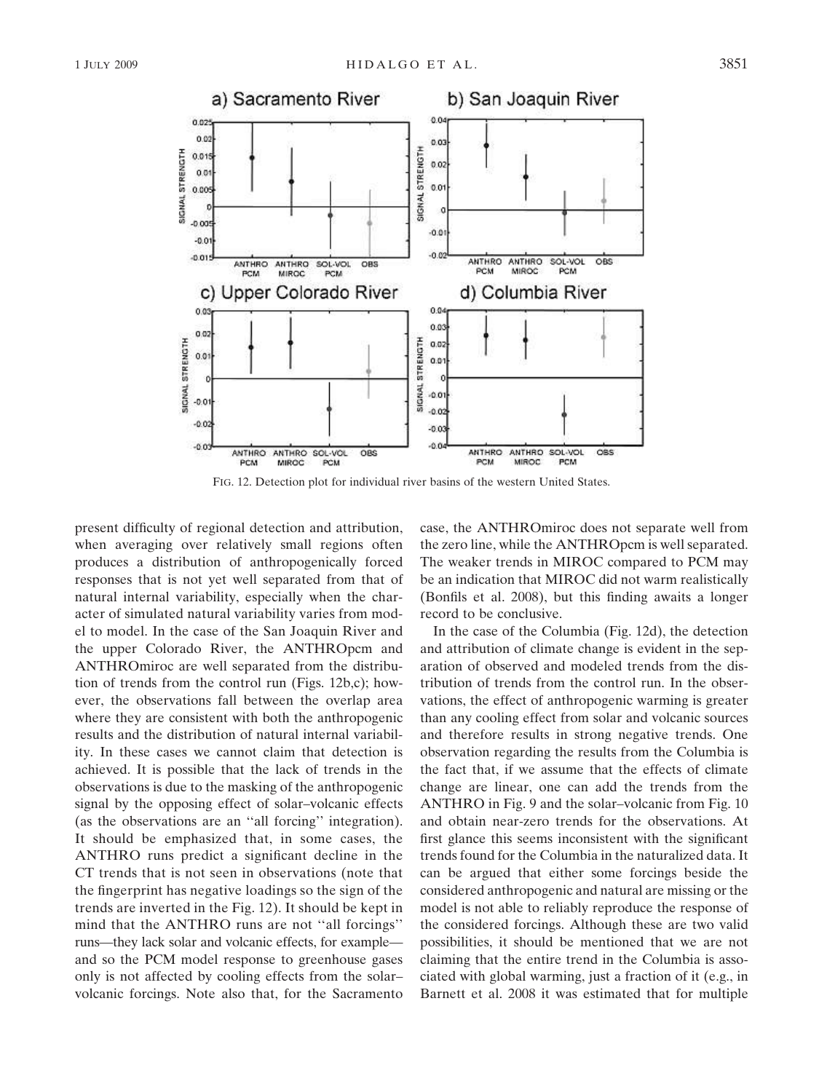

FIG. 12. Detection plot for individual river basins of the western United States.

present difficulty of regional detection and attribution, when averaging over relatively small regions often produces a distribution of anthropogenically forced responses that is not yet well separated from that of natural internal variability, especially when the character of simulated natural variability varies from model to model. In the case of the San Joaquin River and the upper Colorado River, the ANTHROpcm and ANTHROmiroc are well separated from the distribution of trends from the control run (Figs. 12b,c); however, the observations fall between the overlap area where they are consistent with both the anthropogenic results and the distribution of natural internal variability. In these cases we cannot claim that detection is achieved. It is possible that the lack of trends in the observations is due to the masking of the anthropogenic signal by the opposing effect of solar–volcanic effects (as the observations are an ''all forcing'' integration). It should be emphasized that, in some cases, the ANTHRO runs predict a significant decline in the CT trends that is not seen in observations (note that the fingerprint has negative loadings so the sign of the trends are inverted in the Fig. 12). It should be kept in mind that the ANTHRO runs are not ''all forcings'' runs—they lack solar and volcanic effects, for example and so the PCM model response to greenhouse gases only is not affected by cooling effects from the solar– volcanic forcings. Note also that, for the Sacramento case, the ANTHROmiroc does not separate well from the zero line, while the ANTHROpcm is well separated. The weaker trends in MIROC compared to PCM may be an indication that MIROC did not warm realistically (Bonfils et al. 2008), but this finding awaits a longer record to be conclusive.

In the case of the Columbia (Fig. 12d), the detection and attribution of climate change is evident in the separation of observed and modeled trends from the distribution of trends from the control run. In the observations, the effect of anthropogenic warming is greater than any cooling effect from solar and volcanic sources and therefore results in strong negative trends. One observation regarding the results from the Columbia is the fact that, if we assume that the effects of climate change are linear, one can add the trends from the ANTHRO in Fig. 9 and the solar–volcanic from Fig. 10 and obtain near-zero trends for the observations. At first glance this seems inconsistent with the significant trends found for the Columbia in the naturalized data. It can be argued that either some forcings beside the considered anthropogenic and natural are missing or the model is not able to reliably reproduce the response of the considered forcings. Although these are two valid possibilities, it should be mentioned that we are not claiming that the entire trend in the Columbia is associated with global warming, just a fraction of it (e.g., in Barnett et al. 2008 it was estimated that for multiple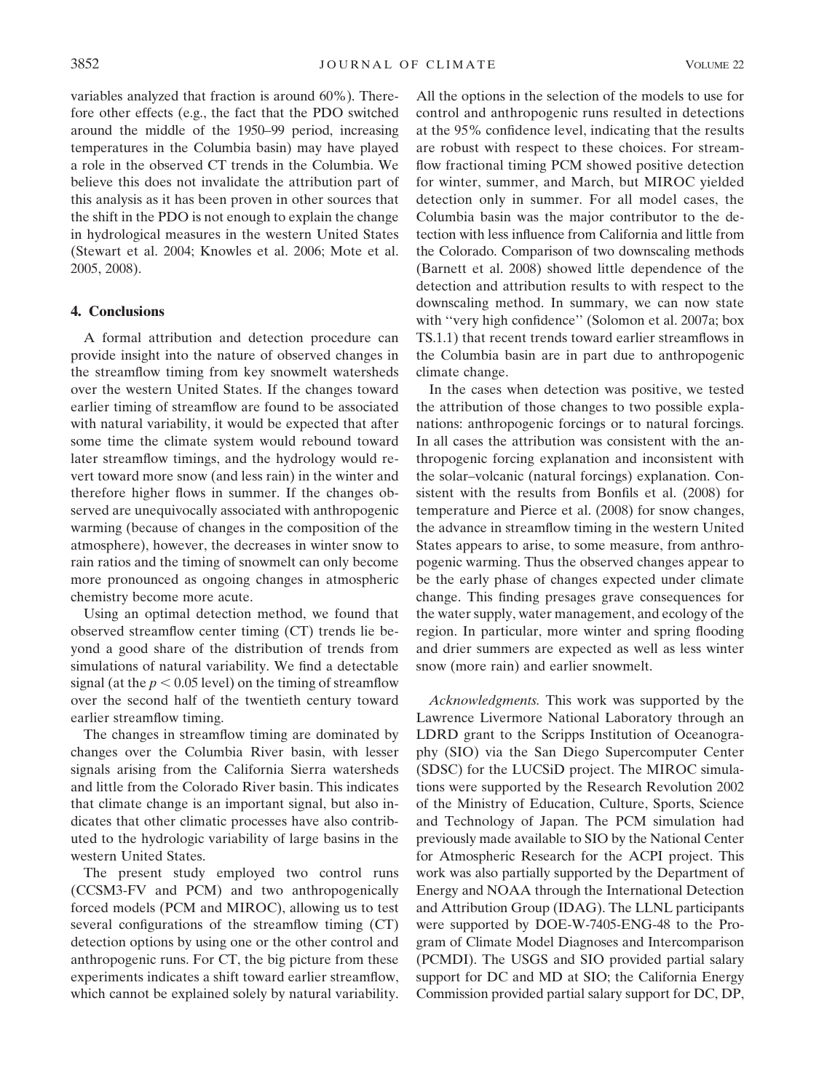variables analyzed that fraction is around 60%). Therefore other effects (e.g., the fact that the PDO switched around the middle of the 1950–99 period, increasing temperatures in the Columbia basin) may have played a role in the observed CT trends in the Columbia. We believe this does not invalidate the attribution part of this analysis as it has been proven in other sources that the shift in the PDO is not enough to explain the change in hydrological measures in the western United States (Stewart et al. 2004; Knowles et al. 2006; Mote et al. 2005, 2008).

#### 4. Conclusions

A formal attribution and detection procedure can provide insight into the nature of observed changes in the streamflow timing from key snowmelt watersheds over the western United States. If the changes toward earlier timing of streamflow are found to be associated with natural variability, it would be expected that after some time the climate system would rebound toward later streamflow timings, and the hydrology would revert toward more snow (and less rain) in the winter and therefore higher flows in summer. If the changes observed are unequivocally associated with anthropogenic warming (because of changes in the composition of the atmosphere), however, the decreases in winter snow to rain ratios and the timing of snowmelt can only become more pronounced as ongoing changes in atmospheric chemistry become more acute.

Using an optimal detection method, we found that observed streamflow center timing (CT) trends lie beyond a good share of the distribution of trends from simulations of natural variability. We find a detectable signal (at the  $p < 0.05$  level) on the timing of streamflow over the second half of the twentieth century toward earlier streamflow timing.

The changes in streamflow timing are dominated by changes over the Columbia River basin, with lesser signals arising from the California Sierra watersheds and little from the Colorado River basin. This indicates that climate change is an important signal, but also indicates that other climatic processes have also contributed to the hydrologic variability of large basins in the western United States.

The present study employed two control runs (CCSM3-FV and PCM) and two anthropogenically forced models (PCM and MIROC), allowing us to test several configurations of the streamflow timing (CT) detection options by using one or the other control and anthropogenic runs. For CT, the big picture from these experiments indicates a shift toward earlier streamflow, which cannot be explained solely by natural variability.

All the options in the selection of the models to use for control and anthropogenic runs resulted in detections at the 95% confidence level, indicating that the results are robust with respect to these choices. For streamflow fractional timing PCM showed positive detection for winter, summer, and March, but MIROC yielded detection only in summer. For all model cases, the Columbia basin was the major contributor to the detection with less influence from California and little from the Colorado. Comparison of two downscaling methods (Barnett et al. 2008) showed little dependence of the detection and attribution results to with respect to the downscaling method. In summary, we can now state with ''very high confidence'' (Solomon et al. 2007a; box TS.1.1) that recent trends toward earlier streamflows in the Columbia basin are in part due to anthropogenic climate change.

In the cases when detection was positive, we tested the attribution of those changes to two possible explanations: anthropogenic forcings or to natural forcings. In all cases the attribution was consistent with the anthropogenic forcing explanation and inconsistent with the solar–volcanic (natural forcings) explanation. Consistent with the results from Bonfils et al. (2008) for temperature and Pierce et al. (2008) for snow changes, the advance in streamflow timing in the western United States appears to arise, to some measure, from anthropogenic warming. Thus the observed changes appear to be the early phase of changes expected under climate change. This finding presages grave consequences for the water supply, water management, and ecology of the region. In particular, more winter and spring flooding and drier summers are expected as well as less winter snow (more rain) and earlier snowmelt.

Acknowledgments. This work was supported by the Lawrence Livermore National Laboratory through an LDRD grant to the Scripps Institution of Oceanography (SIO) via the San Diego Supercomputer Center (SDSC) for the LUCSiD project. The MIROC simulations were supported by the Research Revolution 2002 of the Ministry of Education, Culture, Sports, Science and Technology of Japan. The PCM simulation had previously made available to SIO by the National Center for Atmospheric Research for the ACPI project. This work was also partially supported by the Department of Energy and NOAA through the International Detection and Attribution Group (IDAG). The LLNL participants were supported by DOE-W-7405-ENG-48 to the Program of Climate Model Diagnoses and Intercomparison (PCMDI). The USGS and SIO provided partial salary support for DC and MD at SIO; the California Energy Commission provided partial salary support for DC, DP,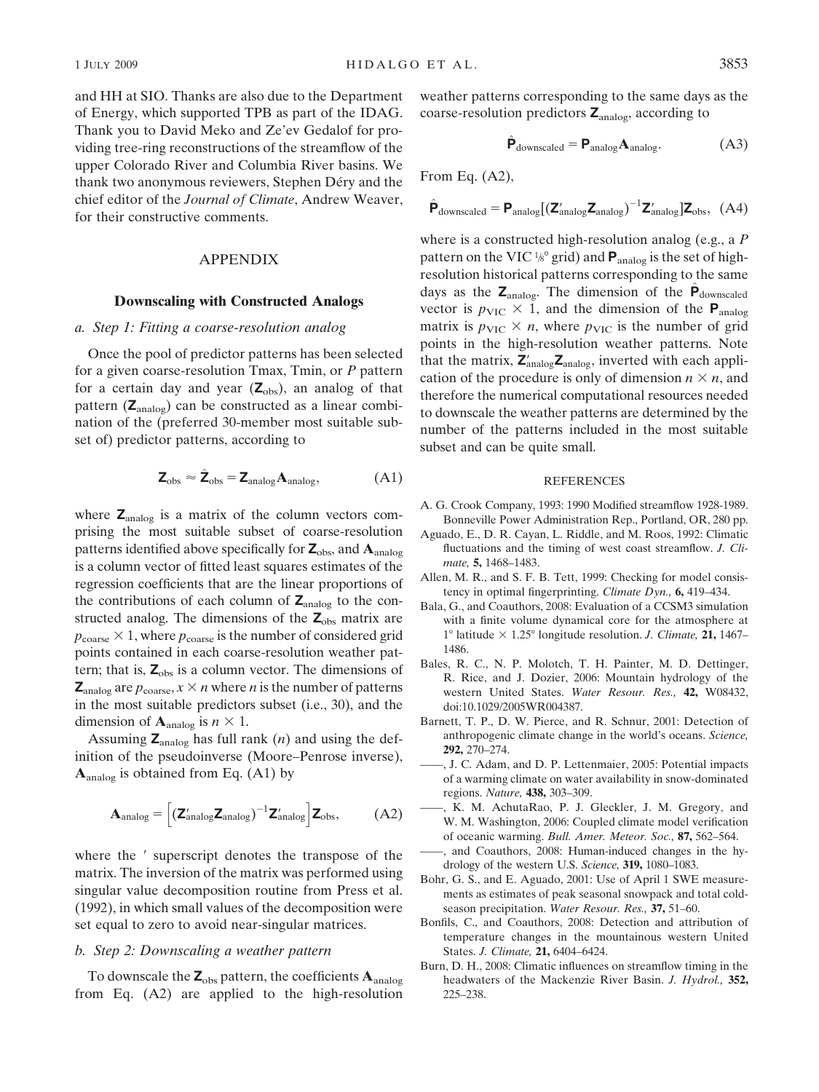and HH at SIO. Thanks are also due to the Department of Energy, which supported TPB as part of the IDAG. Thank you to David Meko and Ze'ev Gedalof for providing tree-ring reconstructions of the streamflow of the upper Colorado River and Columbia River basins. We thank two anonymous reviewers, Stephen Déry and the chief editor of the Journal of Climate, Andrew Weaver, for their constructive comments.

#### APPENDIX

#### Downscaling with Constructed Analogs

#### a. Step 1: Fitting a coarse-resolution analog

Once the pool of predictor patterns has been selected for a given coarse-resolution Tmax, Tmin, or P pattern for a certain day and year  $(\mathbf{Z}_{obs})$ , an analog of that pattern  $(\mathsf{Z}_{\text{analog}})$  can be constructed as a linear combination of the (preferred 30-member most suitable subset of) predictor patterns, according to

$$
\mathbf{Z}_{obs} \approx \hat{\mathbf{Z}}_{obs} = \mathbf{Z}_{analog} \mathbf{A}_{analog}, \tag{A1}
$$

where  $\mathsf{Z}_{\text{analog}}$  is a matrix of the column vectors comprising the most suitable subset of coarse-resolution patterns identified above specifically for  $\mathsf{Z}_{\text{obs}}$ , and  $\mathbf{A}_{\text{analog}}$ is a column vector of fitted least squares estimates of the regression coefficients that are the linear proportions of the contributions of each column of  $\mathsf{Z}_{\text{analog}}$  to the constructed analog. The dimensions of the  $Z_{obs}$  matrix are  $p_{\text{coarse}} \times 1$ , where  $p_{\text{coarse}}$  is the number of considered grid points contained in each coarse-resolution weather pattern; that is,  $\mathbf{Z}_{obs}$  is a column vector. The dimensions of  $\mathsf{Z}_{\text{analog}}$  are  $p_{\text{coarse}}, x \times n$  where *n* is the number of patterns in the most suitable predictors subset (i.e., 30), and the dimension of  $A_{\text{analog}}$  is  $n \times 1$ .

Assuming  $\mathsf{Z}_{\text{analog}}$  has full rank (*n*) and using the definition of the pseudoinverse (Moore–Penrose inverse),  $A_{\text{analog}}$  is obtained from Eq. (A1) by

$$
\mathbf{A}_{\text{analog}} = \left[ (\mathbf{Z}_{\text{analog}}' \mathbf{Z}_{\text{analog}})^{-1} \mathbf{Z}_{\text{analog}}' \right] \mathbf{Z}_{\text{obs}},\tag{A2}
$$

where the ' superscript denotes the transpose of the matrix. The inversion of the matrix was performed using singular value decomposition routine from Press et al. (1992), in which small values of the decomposition were set equal to zero to avoid near-singular matrices.

## b. Step 2: Downscaling a weather pattern

To downscale the  $Z_{obs}$  pattern, the coefficients  $A_{analog}$ from Eq. (A2) are applied to the high-resolution weather patterns corresponding to the same days as the coarse-resolution predictors  $Z_{\text{analog}}$ , according to

$$
\hat{\mathbf{P}}_{downscaled} = \mathbf{P}_{analog} \mathbf{A}_{analog}.
$$
 (A3)

From Eq. (A2),

$$
\hat{\textbf{P}}_{downscaled} = \textbf{P}_{analog} [(\textbf{Z}_{analog}' \textbf{Z}_{analog})^{-1} \textbf{Z}_{analog}'] \textbf{Z}_{obs},\ \, (A4)
$$

where is a constructed high-resolution analog (e.g., a P pattern on the VIC  $\frac{1}{8}$ ° grid) and  $\mathbf{P}_{\text{analog}}$  is the set of highresolution historical patterns corresponding to the same days as the  $Z_{\text{analog}}$ . The dimension of the  $\hat{P}_{\text{downscaled}}$ vector is  $p_{\text{VIC}} \times 1$ , and the dimension of the P<sub>analog</sub> matrix is  $p_{\text{VIC}} \times n$ , where  $p_{\text{VIC}}$  is the number of grid points in the high-resolution weather patterns. Note that the matrix,  $\mathsf{Z}_{\text{analog}}' \mathsf{Z}_{\text{analog}}$ , inverted with each application of the procedure is only of dimension  $n \times n$ , and therefore the numerical computational resources needed to downscale the weather patterns are determined by the number of the patterns included in the most suitable subset and can be quite small.

#### REFERENCES

- A. G. Crook Company, 1993: 1990 Modified streamflow 1928-1989. Bonneville Power Administration Rep., Portland, OR, 280 pp.
- Aguado, E., D. R. Cayan, L. Riddle, and M. Roos, 1992: Climatic fluctuations and the timing of west coast streamflow. J. Climate, 5, 1468–1483.
- Allen, M. R., and S. F. B. Tett, 1999: Checking for model consistency in optimal fingerprinting. Climate Dyn., 6, 419–434.
- Bala, G., and Coauthors, 2008: Evaluation of a CCSM3 simulation with a finite volume dynamical core for the atmosphere at 1° latitude  $\times$  1.25° longitude resolution. *J. Climate*, **21,** 1467– 1486.
- Bales, R. C., N. P. Molotch, T. H. Painter, M. D. Dettinger, R. Rice, and J. Dozier, 2006: Mountain hydrology of the western United States. Water Resour. Res., 42, W08432, doi:10.1029/2005WR004387.
- Barnett, T. P., D. W. Pierce, and R. Schnur, 2001: Detection of anthropogenic climate change in the world's oceans. Science, 292, 270–274.
- ——, J. C. Adam, and D. P. Lettenmaier, 2005: Potential impacts of a warming climate on water availability in snow-dominated regions. Nature, 438, 303–309.
- K. M. AchutaRao, P. J. Gleckler, J. M. Gregory, and W. M. Washington, 2006: Coupled climate model verification of oceanic warming. Bull. Amer. Meteor. Soc., 87, 562–564.
- and Coauthors, 2008: Human-induced changes in the hydrology of the western U.S. Science, 319, 1080–1083.
- Bohr, G. S., and E. Aguado, 2001: Use of April 1 SWE measurements as estimates of peak seasonal snowpack and total coldseason precipitation. Water Resour. Res., 37, 51-60.
- Bonfils, C., and Coauthors, 2008: Detection and attribution of temperature changes in the mountainous western United States. J. Climate, 21, 6404–6424.
- Burn, D. H., 2008: Climatic influences on streamflow timing in the headwaters of the Mackenzie River Basin. J. Hydrol., 352, 225–238.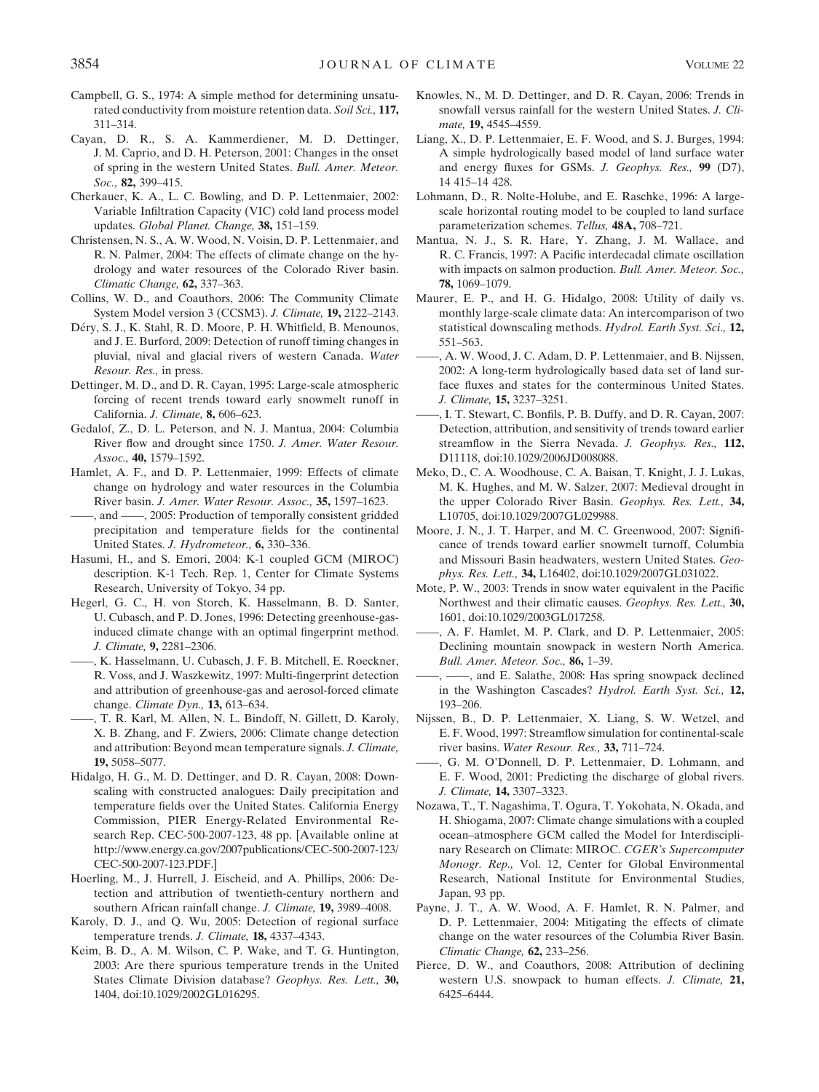- Campbell, G. S., 1974: A simple method for determining unsaturated conductivity from moisture retention data. Soil Sci., 117, 311–314.
- Cayan, D. R., S. A. Kammerdiener, M. D. Dettinger, J. M. Caprio, and D. H. Peterson, 2001: Changes in the onset of spring in the western United States. Bull. Amer. Meteor. Soc., 82, 399-415.
- Cherkauer, K. A., L. C. Bowling, and D. P. Lettenmaier, 2002: Variable Infiltration Capacity (VIC) cold land process model updates. Global Planet. Change, 38, 151–159.
- Christensen, N. S., A. W. Wood, N. Voisin, D. P. Lettenmaier, and R. N. Palmer, 2004: The effects of climate change on the hydrology and water resources of the Colorado River basin. Climatic Change, 62, 337–363.
- Collins, W. D., and Coauthors, 2006: The Community Climate System Model version 3 (CCSM3). J. Climate, 19, 2122–2143.
- Déry, S. J., K. Stahl, R. D. Moore, P. H. Whitfield, B. Menounos, and J. E. Burford, 2009: Detection of runoff timing changes in pluvial, nival and glacial rivers of western Canada. Water Resour. Res., in press.
- Dettinger, M. D., and D. R. Cayan, 1995: Large-scale atmospheric forcing of recent trends toward early snowmelt runoff in California. J. Climate, 8, 606–623.
- Gedalof, Z., D. L. Peterson, and N. J. Mantua, 2004: Columbia River flow and drought since 1750. J. Amer. Water Resour. Assoc., 40, 1579–1592.
- Hamlet, A. F., and D. P. Lettenmaier, 1999: Effects of climate change on hydrology and water resources in the Columbia River basin. J. Amer. Water Resour. Assoc., 35, 1597–1623.
- ——, and ——, 2005: Production of temporally consistent gridded precipitation and temperature fields for the continental United States. J. Hydrometeor., 6, 330–336.
- Hasumi, H., and S. Emori, 2004: K-1 coupled GCM (MIROC) description. K-1 Tech. Rep. 1, Center for Climate Systems Research, University of Tokyo, 34 pp.
- Hegerl, G. C., H. von Storch, K. Hasselmann, B. D. Santer, U. Cubasch, and P. D. Jones, 1996: Detecting greenhouse-gasinduced climate change with an optimal fingerprint method. J. Climate, 9, 2281–2306.
- ——, K. Hasselmann, U. Cubasch, J. F. B. Mitchell, E. Roeckner, R. Voss, and J. Waszkewitz, 1997: Multi-fingerprint detection and attribution of greenhouse-gas and aerosol-forced climate change. Climate Dyn., 13, 613-634.
- -, T. R. Karl, M. Allen, N. L. Bindoff, N. Gillett, D. Karoly, X. B. Zhang, and F. Zwiers, 2006: Climate change detection and attribution: Beyond mean temperature signals. J. Climate, 19, 5058–5077.
- Hidalgo, H. G., M. D. Dettinger, and D. R. Cayan, 2008: Downscaling with constructed analogues: Daily precipitation and temperature fields over the United States. California Energy Commission, PIER Energy-Related Environmental Research Rep. CEC-500-2007-123, 48 pp. [Available online at http://www.energy.ca.gov/2007publications/CEC-500-2007-123/ CEC-500-2007-123.PDF.]
- Hoerling, M., J. Hurrell, J. Eischeid, and A. Phillips, 2006: Detection and attribution of twentieth-century northern and southern African rainfall change. J. Climate, 19, 3989-4008.
- Karoly, D. J., and Q. Wu, 2005: Detection of regional surface temperature trends. J. Climate, 18, 4337–4343.
- Keim, B. D., A. M. Wilson, C. P. Wake, and T. G. Huntington, 2003: Are there spurious temperature trends in the United States Climate Division database? Geophys. Res. Lett., 30, 1404, doi:10.1029/2002GL016295.
- Knowles, N., M. D. Dettinger, and D. R. Cayan, 2006: Trends in snowfall versus rainfall for the western United States. J. Climate, 19, 4545–4559.
- Liang, X., D. P. Lettenmaier, E. F. Wood, and S. J. Burges, 1994: A simple hydrologically based model of land surface water and energy fluxes for GSMs. J. Geophys. Res., 99 (D7), 14 415–14 428.
- Lohmann, D., R. Nolte-Holube, and E. Raschke, 1996: A largescale horizontal routing model to be coupled to land surface parameterization schemes. Tellus, 48A, 708–721.
- Mantua, N. J., S. R. Hare, Y. Zhang, J. M. Wallace, and R. C. Francis, 1997: A Pacific interdecadal climate oscillation with impacts on salmon production. Bull. Amer. Meteor. Soc., 78, 1069–1079.
- Maurer, E. P., and H. G. Hidalgo, 2008: Utility of daily vs. monthly large-scale climate data: An intercomparison of two statistical downscaling methods. Hydrol. Earth Syst. Sci., 12, 551–563.
- ——, A. W. Wood, J. C. Adam, D. P. Lettenmaier, and B. Nijssen, 2002: A long-term hydrologically based data set of land surface fluxes and states for the conterminous United States. J. Climate, 15, 3237–3251.
- ——, I. T. Stewart, C. Bonfils, P. B. Duffy, and D. R. Cayan, 2007: Detection, attribution, and sensitivity of trends toward earlier streamflow in the Sierra Nevada. J. Geophys. Res., 112, D11118, doi:10.1029/2006JD008088.
- Meko, D., C. A. Woodhouse, C. A. Baisan, T. Knight, J. J. Lukas, M. K. Hughes, and M. W. Salzer, 2007: Medieval drought in the upper Colorado River Basin. Geophys. Res. Lett., 34, L10705, doi:10.1029/2007GL029988.
- Moore, J. N., J. T. Harper, and M. C. Greenwood, 2007: Significance of trends toward earlier snowmelt turnoff, Columbia and Missouri Basin headwaters, western United States. Geophys. Res. Lett., 34, L16402, doi:10.1029/2007GL031022.
- Mote, P. W., 2003: Trends in snow water equivalent in the Pacific Northwest and their climatic causes. Geophys. Res. Lett., 30, 1601, doi:10.1029/2003GL017258.
- ——, A. F. Hamlet, M. P. Clark, and D. P. Lettenmaier, 2005: Declining mountain snowpack in western North America. Bull. Amer. Meteor. Soc., 86, 1–39.
- ——, ——, and E. Salathe, 2008: Has spring snowpack declined in the Washington Cascades? Hydrol. Earth Syst. Sci., 12, 193–206.
- Nijssen, B., D. P. Lettenmaier, X. Liang, S. W. Wetzel, and E. F. Wood, 1997: Streamflow simulation for continental-scale river basins. Water Resour. Res., 33, 711–724.
- ——, G. M. O'Donnell, D. P. Lettenmaier, D. Lohmann, and E. F. Wood, 2001: Predicting the discharge of global rivers. J. Climate, 14, 3307–3323.
- Nozawa, T., T. Nagashima, T. Ogura, T. Yokohata, N. Okada, and H. Shiogama, 2007: Climate change simulations with a coupled ocean–atmosphere GCM called the Model for Interdisciplinary Research on Climate: MIROC. CGER's Supercomputer Monogr. Rep., Vol. 12, Center for Global Environmental Research, National Institute for Environmental Studies, Japan, 93 pp.
- Payne, J. T., A. W. Wood, A. F. Hamlet, R. N. Palmer, and D. P. Lettenmaier, 2004: Mitigating the effects of climate change on the water resources of the Columbia River Basin. Climatic Change, 62, 233–256.
- Pierce, D. W., and Coauthors, 2008: Attribution of declining western U.S. snowpack to human effects. *J. Climate*, 21, 6425–6444.